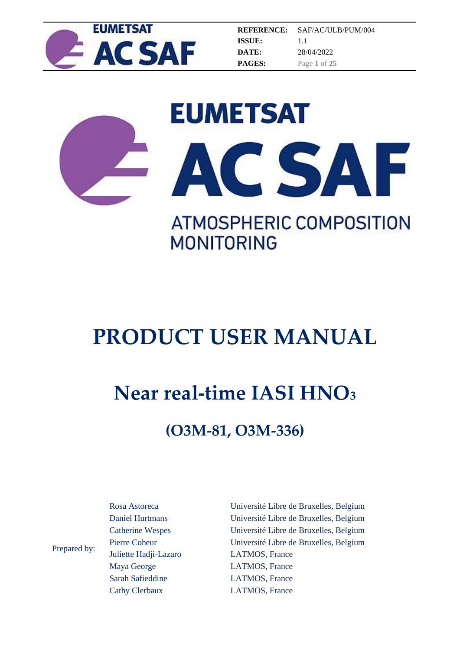

**REFERENCE: ISSUE: DATE: PAGES:** SAF/AC/ULB/PUM/004 1.1 28/04/2022 Page **1** of **25**





**MONITORING** 

# **PRODUCT USER MANUAL**

## **Near real-time IASI HNO<sup>3</sup>**

## **(O3M-81, O3M-336)**

Prepared by: Rosa Astoreca Daniel Hurtmans Catherine Wespes Pierre Coheur Juliette Hadji-Lazaro Maya George Sarah Safieddine

Cathy Clerbaux

Université Libre de Bruxelles, Belgium Université Libre de Bruxelles, Belgium Université Libre de Bruxelles, Belgium Université Libre de Bruxelles, Belgium LATMOS, France LATMOS, France LATMOS, France LATMOS, France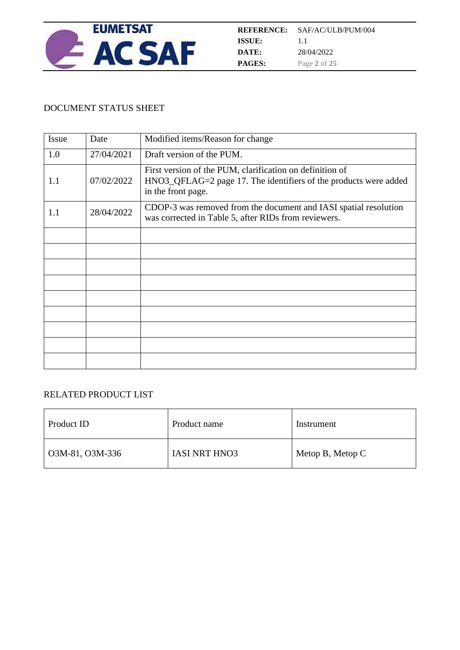

#### DOCUMENT STATUS SHEET

| Issue | Date       | Modified items/Reason for change                                                                                                                   |
|-------|------------|----------------------------------------------------------------------------------------------------------------------------------------------------|
| 1.0   | 27/04/2021 | Draft version of the PUM.                                                                                                                          |
| 1.1   | 07/02/2022 | First version of the PUM, clarification on definition of<br>HNO3_QFLAG=2 page 17. The identifiers of the products were added<br>in the front page. |
| 1.1   | 28/04/2022 | CDOP-3 was removed from the document and IASI spatial resolution<br>was corrected in Table 5, after RIDs from reviewers.                           |
|       |            |                                                                                                                                                    |
|       |            |                                                                                                                                                    |
|       |            |                                                                                                                                                    |
|       |            |                                                                                                                                                    |
|       |            |                                                                                                                                                    |
|       |            |                                                                                                                                                    |
|       |            |                                                                                                                                                    |
|       |            |                                                                                                                                                    |
|       |            |                                                                                                                                                    |

#### RELATED PRODUCT LIST

| Product ID              | Product name         | Instrument         |
|-------------------------|----------------------|--------------------|
| $\vert$ O3M-81, O3M-336 | <b>IASI NRT HNO3</b> | Metop B, Metop $C$ |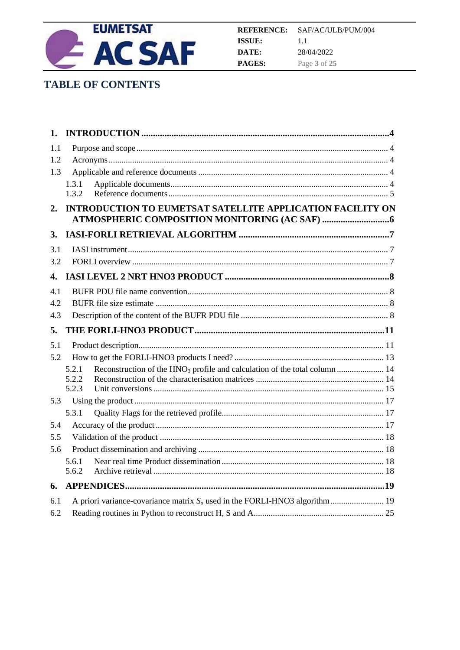

## **TABLE OF CONTENTS**

| 1.         |                                                                                                 |  |
|------------|-------------------------------------------------------------------------------------------------|--|
| 1.1        |                                                                                                 |  |
| 1.2        |                                                                                                 |  |
| 1.3        |                                                                                                 |  |
|            | 1.3.1                                                                                           |  |
|            | 1.3.2                                                                                           |  |
| 2.         | <b>INTRODUCTION TO EUMETSAT SATELLITE APPLICATION FACILITY ON</b>                               |  |
|            |                                                                                                 |  |
| 3.         |                                                                                                 |  |
| 3.1        |                                                                                                 |  |
| 3.2        |                                                                                                 |  |
| 4.         |                                                                                                 |  |
| 4.1        |                                                                                                 |  |
| 4.2        |                                                                                                 |  |
| 4.3        |                                                                                                 |  |
|            |                                                                                                 |  |
| 5.         |                                                                                                 |  |
| 5.1        |                                                                                                 |  |
| 5.2        |                                                                                                 |  |
|            | Reconstruction of the HNO <sub>3</sub> profile and calculation of the total column  14<br>5.2.1 |  |
|            | 5.2.2                                                                                           |  |
|            | 5.2.3                                                                                           |  |
| 5.3        |                                                                                                 |  |
|            | 5.3.1                                                                                           |  |
| 5.4<br>5.5 |                                                                                                 |  |
| 5.6        |                                                                                                 |  |
|            | 5.6.1                                                                                           |  |
|            | 5.6.2                                                                                           |  |
| 6.         |                                                                                                 |  |
| 6.1        |                                                                                                 |  |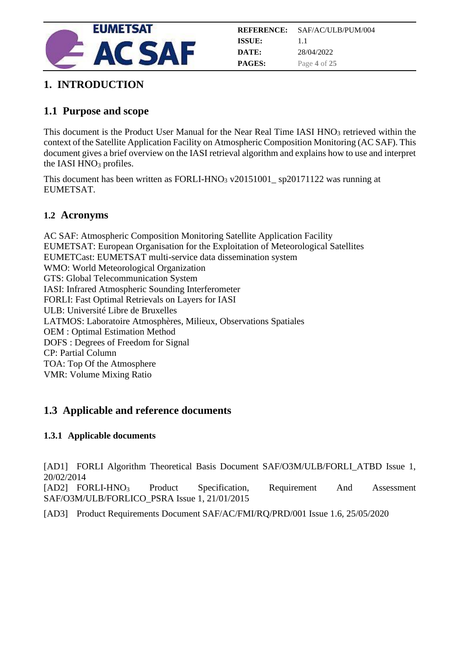

## <span id="page-3-0"></span>**1. INTRODUCTION**

## <span id="page-3-1"></span>**1.1 Purpose and scope**

This document is the Product User Manual for the Near Real Time IASI HNO<sup>3</sup> retrieved within the context of the Satellite Application Facility on Atmospheric Composition Monitoring (AC SAF). This document gives a brief overview on the IASI retrieval algorithm and explains how to use and interpret the IASI HNO<sub>3</sub> profiles.

This document has been written as FORLI-HNO<sup>3</sup> v20151001\_ sp20171122 was running at EUMETSAT.

#### <span id="page-3-2"></span>**1.2 Acronyms**

AC SAF: Atmospheric Composition Monitoring Satellite Application Facility EUMETSAT: European Organisation for the Exploitation of Meteorological Satellites EUMETCast: EUMETSAT multi-service data dissemination system WMO: World Meteorological Organization GTS: Global Telecommunication System IASI: Infrared Atmospheric Sounding Interferometer FORLI: Fast Optimal Retrievals on Layers for IASI ULB: Université Libre de Bruxelles LATMOS: Laboratoire Atmosphères, Milieux, Observations Spatiales OEM : Optimal Estimation Method DOFS : Degrees of Freedom for Signal CP: Partial Column TOA: Top Of the Atmosphere VMR: Volume Mixing Ratio

### <span id="page-3-3"></span>**1.3 Applicable and reference documents**

#### <span id="page-3-4"></span>**1.3.1 Applicable documents**

[AD1] FORLI Algorithm Theoretical Basis Document SAF/O3M/ULB/FORLI\_ATBD Issue 1, 20/02/2014

[AD2] FORLI-HNO<sup>3</sup> Product Specification, Requirement And Assessment SAF/O3M/ULB/FORLICO\_PSRA Issue 1, 21/01/2015

[AD3] Product Requirements Document SAF/AC/FMI/RQ/PRD/001 Issue 1.6, 25/05/2020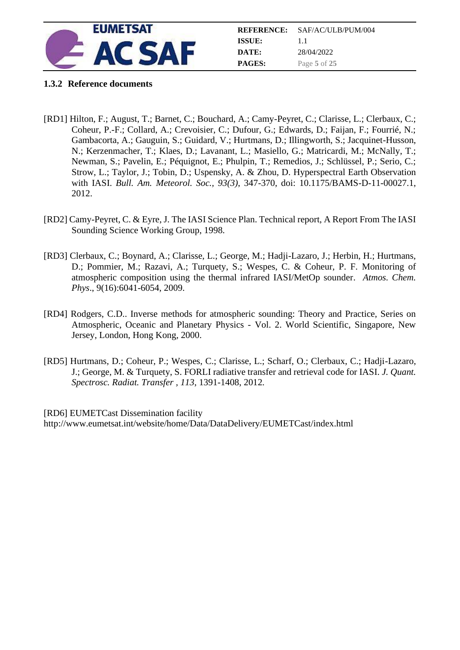

|               | <b>REFERENCE:</b> SAF/AC/ULB/PUM/004 |
|---------------|--------------------------------------|
| ISSUE:        | 11                                   |
| DATE:         | 28/04/2022                           |
| <b>PAGES:</b> | Page 5 of 25                         |

#### <span id="page-4-0"></span>**1.3.2 Reference documents**

- [RD1] Hilton, F.; August, T.; Barnet, C.; Bouchard, A.; Camy-Peyret, C.; Clarisse, L.; Clerbaux, C.; Coheur, P.-F.; Collard, A.; Crevoisier, C.; Dufour, G.; Edwards, D.; Faijan, F.; Fourrié, N.; Gambacorta, A.; Gauguin, S.; Guidard, V.; Hurtmans, D.; Illingworth, S.; Jacquinet-Husson, N.; Kerzenmacher, T.; Klaes, D.; Lavanant, L.; Masiello, G.; Matricardi, M.; McNally, T.; Newman, S.; Pavelin, E.; Péquignot, E.; Phulpin, T.; Remedios, J.; Schlüssel, P.; Serio, C.; Strow, L.; Taylor, J.; Tobin, D.; Uspensky, A. & Zhou, D. Hyperspectral Earth Observation with IASI. *Bull. Am. Meteorol. Soc., 93(3)*, 347-370, doi: 10.1175/BAMS-D-11-00027.1, 2012.
- [RD2] Camy-Peyret, C. & Eyre, J. The IASI Science Plan. Technical report, A Report From The IASI Sounding Science Working Group, 1998.
- [RD3] Clerbaux, C.; Boynard, A.; Clarisse, L.; George, M.; Hadji-Lazaro, J.; Herbin, H.; Hurtmans, D.; Pommier, M.; Razavi, A.; Turquety, S.; Wespes, C. & Coheur, P. F. Monitoring of atmospheric composition using the thermal infrared IASI/MetOp sounder. *Atmos. Chem. Phys*., 9(16):6041-6054, 2009.
- [RD4] Rodgers, C.D.. Inverse methods for atmospheric sounding: Theory and Practice, Series on Atmospheric, Oceanic and Planetary Physics - Vol. 2. World Scientific, Singapore, New Jersey, London, Hong Kong, 2000.
- [RD5] Hurtmans, D.; Coheur, P.; Wespes, C.; Clarisse, L.; Scharf, O.; Clerbaux, C.; Hadji-Lazaro, J.; George, M. & Turquety, S. FORLI radiative transfer and retrieval code for IASI. *J. Quant. Spectrosc. Radiat. Transfer , 113*, 1391-1408, 2012*.*

[RD6] EUMETCast Dissemination facility http://www.eumetsat.int/website/home/Data/DataDelivery/EUMETCast/index.html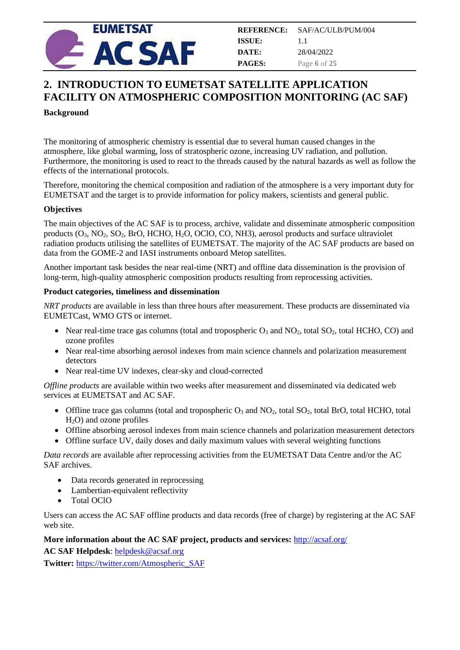

## <span id="page-5-0"></span>**2. INTRODUCTION TO EUMETSAT SATELLITE APPLICATION FACILITY ON ATMOSPHERIC COMPOSITION MONITORING (AC SAF)**

#### **Background**

The monitoring of atmospheric chemistry is essential due to several human caused changes in the atmosphere, like global warming, loss of stratospheric ozone, increasing UV radiation, and pollution. Furthermore, the monitoring is used to react to the threads caused by the natural hazards as well as follow the effects of the international protocols.

Therefore, monitoring the chemical composition and radiation of the atmosphere is a very important duty for EUMETSAT and the target is to provide information for policy makers, scientists and general public.

#### **Objectives**

The main objectives of the AC SAF is to process, archive, validate and disseminate atmospheric composition products  $(O_3, NO_2, SO_2, Bro, HCHO, H_2O, OCIO, CO, NH3)$ , aerosol products and surface ultraviolet radiation products utilising the satellites of EUMETSAT. The majority of the AC SAF products are based on data from the GOME-2 and IASI instruments onboard Metop satellites.

Another important task besides the near real-time (NRT) and offline data dissemination is the provision of long-term, high-quality atmospheric composition products resulting from reprocessing activities.

#### **Product categories, timeliness and dissemination**

*NRT products* are available in less than three hours after measurement. These products are disseminated via EUMETCast, WMO GTS or internet.

- Near real-time trace gas columns (total and tropospheric  $O_3$  and  $NO_2$ , total  $SO_2$ , total HCHO, CO) and ozone profiles
- Near real-time absorbing aerosol indexes from main science channels and polarization measurement detectors
- Near real-time UV indexes, clear-sky and cloud-corrected

*Offline products* are available within two weeks after measurement and disseminated via dedicated web services at EUMETSAT and AC SAF.

- Offline trace gas columns (total and tropospheric  $O_3$  and  $NO_2$ , total  $SO_2$ , total BrO, total HCHO, total  $H<sub>2</sub>O$ ) and ozone profiles
- Offline absorbing aerosol indexes from main science channels and polarization measurement detectors
- Offline surface UV, daily doses and daily maximum values with several weighting functions

*Data records* are available after reprocessing activities from the EUMETSAT Data Centre and/or the AC SAF archives.

- Data records generated in reprocessing
- Lambertian-equivalent reflectivity
- Total OClO

Users can access the AC SAF offline products and data records (free of charge) by registering at the AC SAF web site.

#### **More information about the AC SAF project, products and services:** <http://acsaf.org/>

**AC SAF Helpdesk**[: helpdesk@acsaf.org](mailto:helpdesk@acsaf.org)

**Twitter:** [https://twitter.com/Atmospheric\\_SAF](https://twitter.com/Atmospheric_SAF)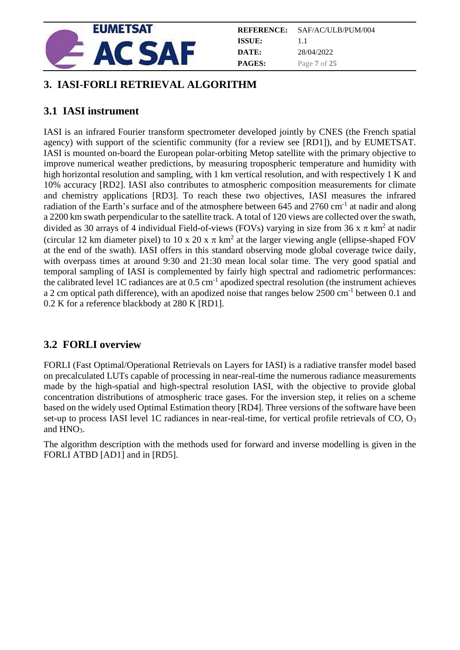

| REFERENCE:    | SAF/AC/ULB/PUM/004 |
|---------------|--------------------|
| ISSUE:        | 11                 |
| DATE:         | 28/04/2022         |
| <b>PAGES:</b> | Page 7 of 25       |

## <span id="page-6-0"></span>**3. IASI-FORLI RETRIEVAL ALGORITHM**

## <span id="page-6-1"></span>**3.1 IASI instrument**

IASI is an infrared Fourier transform spectrometer developed jointly by CNES (the French spatial agency) with support of the scientific community (for a review see [RD1]), and by EUMETSAT. IASI is mounted on-board the European polar-orbiting Metop satellite with the primary objective to improve numerical weather predictions, by measuring tropospheric temperature and humidity with high horizontal resolution and sampling, with 1 km vertical resolution, and with respectively 1 K and 10% accuracy [RD2]. IASI also contributes to atmospheric composition measurements for climate and chemistry applications [RD3]. To reach these two objectives, IASI measures the infrared radiation of the Earth's surface and of the atmosphere between 645 and 2760 cm<sup>-1</sup> at nadir and along a 2200 km swath perpendicular to the satellite track. A total of 120 views are collected over the swath, divided as 30 arrays of 4 individual Field-of-views (FOVs) varying in size from 36 x  $\pi$  km<sup>2</sup> at nadir (circular 12 km diameter pixel) to 10 x 20 x  $\pi$  km<sup>2</sup> at the larger viewing angle (ellipse-shaped FOV at the end of the swath). IASI offers in this standard observing mode global coverage twice daily, with overpass times at around 9:30 and 21:30 mean local solar time. The very good spatial and temporal sampling of IASI is complemented by fairly high spectral and radiometric performances: the calibrated level 1C radiances are at  $0.5 \text{ cm}^{-1}$  apodized spectral resolution (the instrument achieves a 2 cm optical path difference), with an apodized noise that ranges below 2500 cm<sup>-1</sup> between 0.1 and 0.2 K for a reference blackbody at 280 K [RD1].

## <span id="page-6-2"></span>**3.2 FORLI overview**

FORLI (Fast Optimal/Operational Retrievals on Layers for IASI) is a radiative transfer model based on precalculated LUTs capable of processing in near-real-time the numerous radiance measurements made by the high-spatial and high-spectral resolution IASI, with the objective to provide global concentration distributions of atmospheric trace gases. For the inversion step, it relies on a scheme based on the widely used Optimal Estimation theory [RD4]. Three versions of the software have been set-up to process IASI level 1C radiances in near-real-time, for vertical profile retrievals of CO, O<sub>3</sub> and HNO<sub>3</sub>.

The algorithm description with the methods used for forward and inverse modelling is given in the FORLI ATBD [AD1] and in [RD5].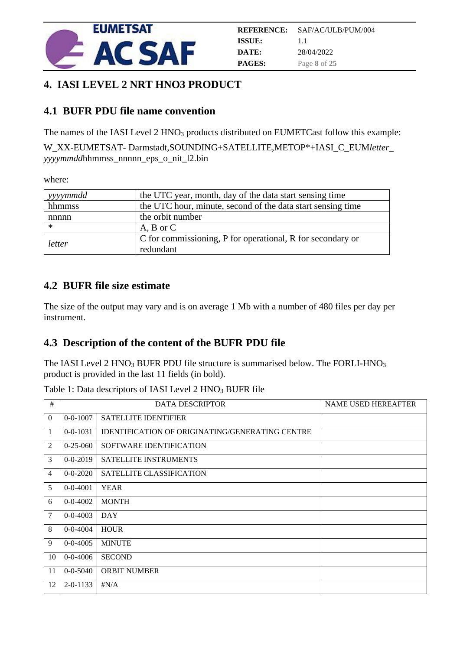

## <span id="page-7-0"></span>**4. IASI LEVEL 2 NRT HNO3 PRODUCT**

## <span id="page-7-1"></span>**4.1 BUFR PDU file name convention**

The names of the IASI Level 2 HNO<sub>3</sub> products distributed on EUMETCast follow this example:

W\_XX-EUMETSAT- Darmstadt,SOUNDING+SATELLITE,METOP\*+IASI\_C\_EUM*letter*\_ *yyyymmdd*hhmmss\_nnnnn\_eps\_o\_nit\_l2.bin

where:

| vyyymmdd | the UTC year, month, day of the data start sensing time     |
|----------|-------------------------------------------------------------|
| hhmmss   | the UTC hour, minute, second of the data start sensing time |
| nnnnn    | the orbit number                                            |
| $\ast$   | $A, B$ or $C$                                               |
|          | C for commissioning, P for operational, R for secondary or  |
| letter   | redundant                                                   |

## <span id="page-7-2"></span>**4.2 BUFR file size estimate**

The size of the output may vary and is on average 1 Mb with a number of 480 files per day per instrument.

## <span id="page-7-3"></span>**4.3 Description of the content of the BUFR PDU file**

The IASI Level 2 HNO<sub>3</sub> BUFR PDU file structure is summarised below. The FORLI-HNO<sub>3</sub> product is provided in the last 11 fields (in bold).

Table 1: Data descriptors of IASI Level 2 HNO<sub>3</sub> BUFR file

| #              | <b>DATA DESCRIPTOR</b> |                                                 | <b>NAME USED HEREAFTER</b> |
|----------------|------------------------|-------------------------------------------------|----------------------------|
| $\theta$       | $0 - 0 - 1007$         | <b>SATELLITE IDENTIFIER</b>                     |                            |
| $\mathbf{1}$   | $0 - 0 - 1031$         | IDENTIFICATION OF ORIGINATING/GENERATING CENTRE |                            |
| 2              | $0 - 25 - 060$         | SOFTWARE IDENTIFICATION                         |                            |
| 3              | $0 - 0 - 2019$         | <b>SATELLITE INSTRUMENTS</b>                    |                            |
| $\overline{4}$ | $0 - 0 - 2020$         | SATELLITE CLASSIFICATION                        |                            |
| 5              | $0 - 0 - 4001$         | <b>YEAR</b>                                     |                            |
| 6              | $0 - 0 - 4002$         | <b>MONTH</b>                                    |                            |
| $\overline{7}$ | $0 - 0 - 4003$         | <b>DAY</b>                                      |                            |
| 8              | $0 - 0 - 4004$         | <b>HOUR</b>                                     |                            |
| 9              | $0 - 0 - 4005$         | <b>MINUTE</b>                                   |                            |
| 10             | $0 - 0 - 4006$         | <b>SECOND</b>                                   |                            |
| 11             | $0 - 0 - 5040$         | <b>ORBIT NUMBER</b>                             |                            |
| 12             | $2 - 0 - 1133$         | $\sharp N/A$                                    |                            |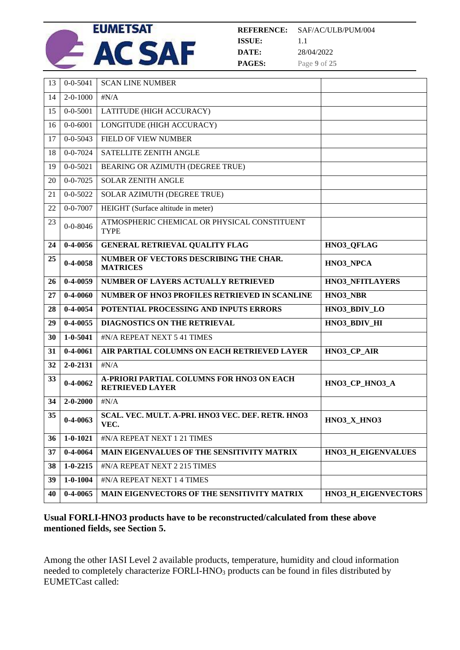

| 13        | $0 - 0 - 5041$ | <b>SCAN LINE NUMBER</b>                                             |                        |
|-----------|----------------|---------------------------------------------------------------------|------------------------|
| 14        | $2 - 0 - 1000$ | $\sharp N/A$                                                        |                        |
| 15        | $0 - 0 - 5001$ | LATITUDE (HIGH ACCURACY)                                            |                        |
| 16        | $0 - 0 - 6001$ | LONGITUDE (HIGH ACCURACY)                                           |                        |
| 17        | $0 - 0 - 5043$ | FIELD OF VIEW NUMBER                                                |                        |
| 18        | $0 - 0 - 7024$ | SATELLITE ZENITH ANGLE                                              |                        |
| 19        | $0 - 0 - 5021$ | BEARING OR AZIMUTH (DEGREE TRUE)                                    |                        |
| 20        | $0 - 0 - 7025$ | <b>SOLAR ZENITH ANGLE</b>                                           |                        |
| 21        | $0 - 0 - 5022$ | SOLAR AZIMUTH (DEGREE TRUE)                                         |                        |
| 22        | $0 - 0 - 7007$ | HEIGHT (Surface altitude in meter)                                  |                        |
| 23        | $0 - 0 - 8046$ | ATMOSPHERIC CHEMICAL OR PHYSICAL CONSTITUENT<br><b>TYPE</b>         |                        |
| 24        | $0-4-0056$     | <b>GENERAL RETRIEVAL QUALITY FLAG</b>                               | HNO3_QFLAG             |
| 25        | $0 - 4 - 0058$ | NUMBER OF VECTORS DESCRIBING THE CHAR.<br><b>MATRICES</b>           | HNO3_NPCA              |
| <b>26</b> | $0-4-0059$     | <b>NUMBER OF LAYERS ACTUALLY RETRIEVED</b>                          | <b>HNO3 NFITLAYERS</b> |
|           |                |                                                                     |                        |
| 27        | $0-4-0060$     | <b>NUMBER OF HNO3 PROFILES RETRIEVED IN SCANLINE</b>                | HNO3 NBR               |
| 28        | $0-4-0054$     | POTENTIAL PROCESSING AND INPUTS ERRORS                              | HNO3_BDIV_LO           |
| 29        | $0-4-0055$     | DIAGNOSTICS ON THE RETRIEVAL                                        | HNO3 BDIV HI           |
| 30        | $1 - 0 - 5041$ | #N/A REPEAT NEXT 5 41 TIMES                                         |                        |
| 31        | $0 - 4 - 0061$ | AIR PARTIAL COLUMNS ON EACH RETRIEVED LAYER                         | HNO3_CP_AIR            |
| 32        | $2 - 0 - 2131$ | $\sharp N/A$                                                        |                        |
| 33        | $0 - 4 - 0062$ | A-PRIORI PARTIAL COLUMNS FOR HNO3 ON EACH<br><b>RETRIEVED LAYER</b> | HNO3_CP_HNO3_A         |
| 34        | $2 - 0 - 2000$ | $\sharp N/A$                                                        |                        |
| 35        | $0-4-0063$     | SCAL. VEC. MULT. A-PRI. HNO3 VEC. DEF. RETR. HNO3<br>VEC.           | HNO3_X_HNO3            |
| 36        | $1 - 0 - 1021$ | #N/A REPEAT NEXT 1 21 TIMES                                         |                        |
| 37        | $0 - 4 - 0064$ | MAIN EIGENVALUES OF THE SENSITIVITY MATRIX                          | HNO3 H EIGENVALUES     |
| 38        | $1 - 0 - 2215$ | #N/A REPEAT NEXT 2 215 TIMES                                        |                        |
| 39        | $1 - 0 - 1004$ | #N/A REPEAT NEXT 1 4 TIMES                                          |                        |

#### **Usual FORLI-HNO3 products have to be reconstructed/calculated from these above mentioned fields, see Section [5.](#page-10-0)**

Among the other IASI Level 2 available products, temperature, humidity and cloud information needed to completely characterize FORLI-HNO<sub>3</sub> products can be found in files distributed by EUMETCast called: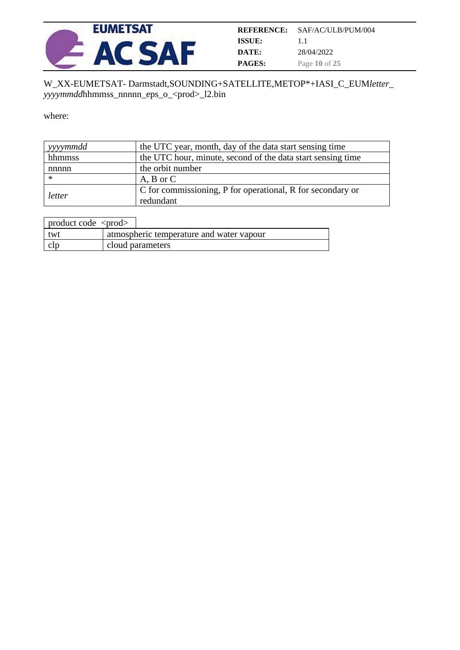

| <b>REFERENCE:</b> | SAF/AC/ULB/PUM/004 |
|-------------------|--------------------|
| ISSUE:            | 11                 |
| DATE:             | 28/04/2022         |
| <b>PAGES:</b>     | Page 10 of 25      |

#### W\_XX-EUMETSAT- Darmstadt,SOUNDING+SATELLITE,METOP\*+IASI\_C\_EUM*letter*\_ *yyyymmdd*hhmmss\_nnnnn\_eps\_o\_<prod>\_l2.bin

where:

| yyymmdd | the UTC year, month, day of the data start sensing time     |
|---------|-------------------------------------------------------------|
| hhmmss  | the UTC hour, minute, second of the data start sensing time |
| nnnnn   | the orbit number                                            |
| ∗       | $A, B$ or $C$                                               |
|         | C for commissioning, P for operational, R for secondary or  |
| letter  | redundant                                                   |

| product code $\langle \text{prod} \rangle$ |                                          |
|--------------------------------------------|------------------------------------------|
| twt                                        | atmospheric temperature and water vapour |
| clp                                        | cloud parameters                         |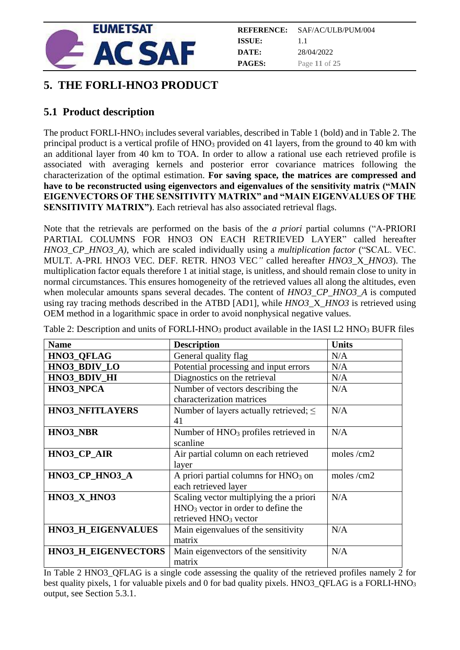

|               | <b>REFERENCE:</b> SAF/AC/ULB/PUM/004 |
|---------------|--------------------------------------|
| ISSUE:        | 11                                   |
| DATE:         | 28/04/2022                           |
| <b>PAGES:</b> | Page 11 of 25                        |

## <span id="page-10-0"></span>**5. THE FORLI-HNO3 PRODUCT**

## <span id="page-10-1"></span>**5.1 Product description**

The product FORLI-HNO<sub>3</sub> includes several variables, described in Table 1 (bold) and in Table 2. The principal product is a vertical profile of HNO<sub>3</sub> provided on 41 layers, from the ground to 40 km with an additional layer from 40 km to TOA. In order to allow a rational use each retrieved profile is associated with averaging kernels and posterior error covariance matrices following the characterization of the optimal estimation. **For saving space, the matrices are compressed and have to be reconstructed using eigenvectors and eigenvalues of the sensitivity matrix ("MAIN EIGENVECTORS OF THE SENSITIVITY MATRIX" and "MAIN EIGENVALUES OF THE SENSITIVITY MATRIX"**). Each retrieval has also associated retrieval flags.

Note that the retrievals are performed on the basis of the *a priori* partial columns ("A-PRIORI PARTIAL COLUMNS FOR HNO3 ON EACH RETRIEVED LAYER" called hereafter *HNO3\_CP\_HNO3\_A)*, which are scaled individually using a *multiplication factor* ("SCAL. VEC. MULT. A-PRI. HNO3 VEC. DEF. RETR. HNO3 VEC*"* called hereafter *HNO3*\_X\_*HNO3*). The multiplication factor equals therefore 1 at initial stage, is unitless, and should remain close to unity in normal circumstances. This ensures homogeneity of the retrieved values all along the altitudes, even when molecular amounts spans several decades. The content of *HNO3 CP HNO3 A* is computed using ray tracing methods described in the ATBD [AD1], while *HNO3*\_X\_*HNO3* is retrieved using OEM method in a logarithmic space in order to avoid nonphysical negative values.

| <b>Name</b>                | <b>Description</b>                               | <b>Units</b> |
|----------------------------|--------------------------------------------------|--------------|
| HNO3_QFLAG                 | General quality flag                             | N/A          |
| HNO3 BDIV LO               | Potential processing and input errors            | N/A          |
| HNO3_BDIV_HI               | Diagnostics on the retrieval                     | N/A          |
| HNO3_NPCA                  | Number of vectors describing the                 | N/A          |
|                            | characterization matrices                        |              |
| <b>HNO3 NFITLAYERS</b>     | Number of layers actually retrieved; $\leq$      | N/A          |
|                            | 41                                               |              |
| HNO3 NBR                   | Number of HNO <sub>3</sub> profiles retrieved in | N/A          |
|                            | scanline                                         |              |
| HNO3_CP_AIR                | Air partial column on each retrieved             | moles /cm2   |
|                            | layer                                            |              |
| HNO3_CP_HNO3_A             | A priori partial columns for $HNO3$ on           | moles /cm2   |
|                            | each retrieved layer                             |              |
| HNO3_X_HNO3                | Scaling vector multiplying the a priori          | N/A          |
|                            | $HNO3$ vector in order to define the             |              |
|                            | retrieved HNO <sub>3</sub> vector                |              |
| <b>HNO3 H EIGENVALUES</b>  | Main eigenvalues of the sensitivity              | N/A          |
|                            | matrix                                           |              |
| <b>HNO3_H_EIGENVECTORS</b> | Main eigenvectors of the sensitivity             | N/A          |
|                            | matrix                                           |              |

Table 2: Description and units of FORLI-HNO<sub>3</sub> product available in the IASI L2 HNO<sub>3</sub> BUFR files

In Table 2 HNO3\_QFLAG is a single code assessing the quality of the retrieved profiles namely 2 for best quality pixels, 1 for valuable pixels and 0 for bad quality pixels. HNO3\_QFLAG is a FORLI-HNO<sup>3</sup> output, see Section 5.3.1.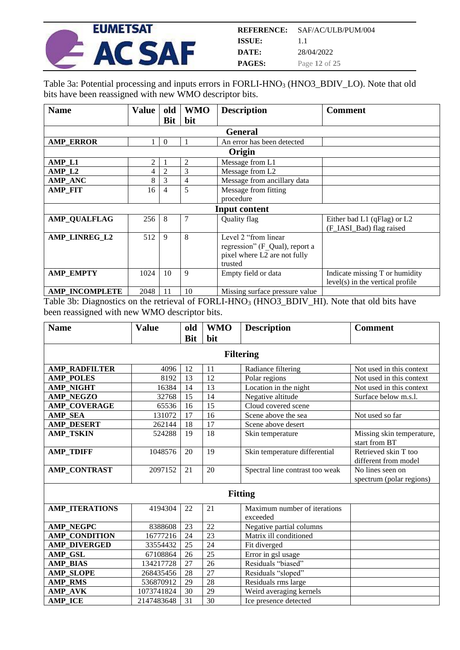

Table 3a: Potential processing and inputs errors in FORLI-HNO<sub>3</sub> (HNO3\_BDIV\_LO). Note that old bits have been reassigned with new WMO descriptor bits.

| <b>Name</b>           | <b>Value</b> | old            | <b>WMO</b> | <b>Description</b>             | <b>Comment</b>                     |
|-----------------------|--------------|----------------|------------|--------------------------------|------------------------------------|
|                       |              | <b>Bit</b>     | bit        |                                |                                    |
|                       |              |                |            | <b>General</b>                 |                                    |
| <b>AMP ERROR</b>      |              | $\Omega$       |            | An error has been detected     |                                    |
|                       |              |                |            | Origin                         |                                    |
| AMP_L1                | 2            |                | 2          | Message from L1                |                                    |
| AMP <sub>L2</sub>     | 4            | $\overline{2}$ | 3          | Message from L2                |                                    |
| <b>AMP_ANC</b>        | 8            | 3              | 4          | Message from ancillary data    |                                    |
| <b>AMP FIT</b>        | 16           | 4              | 5          | Message from fitting           |                                    |
|                       |              |                |            | procedure                      |                                    |
|                       |              |                |            | <b>Input content</b>           |                                    |
| <b>AMP QUALFLAG</b>   | 256          | 8              | 7          | Quality flag                   | Either bad L1 (qFlag) or L2        |
|                       |              |                |            |                                | (F_IASI_Bad) flag raised           |
| AMP LINREG L2         | 512          | 9              | 8          | Level 2 "from linear           |                                    |
|                       |              |                |            | regression" (F Qual), report a |                                    |
|                       |              |                |            | pixel where L2 are not fully   |                                    |
|                       |              |                |            | trusted                        |                                    |
| <b>AMP EMPTY</b>      | 1024         | 10             | 9          | Empty field or data            | Indicate missing T or humidity     |
|                       |              |                |            |                                | $level(s)$ in the vertical profile |
| <b>AMP INCOMPLETE</b> | 2048         | 11             | 10         | Missing surface pressure value |                                    |

Table 3b: Diagnostics on the retrieval of FORLI-HNO<sub>3</sub> (HNO3\_BDIV\_HI). Note that old bits have been reassigned with new WMO descriptor bits.

| <b>Name</b>           | <b>Value</b> | old        | <b>WMO</b> | <b>Description</b>                       | <b>Comment</b>                               |  |  |
|-----------------------|--------------|------------|------------|------------------------------------------|----------------------------------------------|--|--|
|                       |              | <b>Bit</b> | bit        |                                          |                                              |  |  |
| <b>Filtering</b>      |              |            |            |                                          |                                              |  |  |
| <b>AMP_RADFILTER</b>  | 4096         | 12         | 11         | Radiance filtering                       | Not used in this context                     |  |  |
| <b>AMP POLES</b>      | 8192         | 13         | 12         | Polar regions                            | Not used in this context                     |  |  |
| <b>AMP_NIGHT</b>      | 16384        | 14         | 13         | Location in the night                    | Not used in this context                     |  |  |
| <b>AMP NEGZO</b>      | 32768        | 15         | 14         | Negative altitude                        | Surface below m.s.l.                         |  |  |
| <b>AMP COVERAGE</b>   | 65536        | 16         | 15         | Cloud covered scene                      |                                              |  |  |
| <b>AMP SEA</b>        | 131072       | 17         | 16         | Scene above the sea                      | Not used so far                              |  |  |
| <b>AMP DESERT</b>     | 262144       | 18         | 17         | Scene above desert                       |                                              |  |  |
| <b>AMP TSKIN</b>      | 524288       | 19         | 18         | Skin temperature                         | Missing skin temperature,<br>start from BT   |  |  |
| <b>AMP_TDIFF</b>      | 1048576      | 20         | 19         | Skin temperature differential            | Retrieved skin T too<br>different from model |  |  |
| <b>AMP_CONTRAST</b>   | 2097152      | 21         | 20         | Spectral line contrast too weak          | No lines seen on<br>spectrum (polar regions) |  |  |
|                       |              |            |            | <b>Fitting</b>                           |                                              |  |  |
| <b>AMP ITERATIONS</b> | 4194304      | 22         | 21         | Maximum number of iterations<br>exceeded |                                              |  |  |
| <b>AMP_NEGPC</b>      | 8388608      | 23         | 22         | Negative partial columns                 |                                              |  |  |
| <b>AMP_CONDITION</b>  | 16777216     | 24         | 23         | Matrix ill conditioned                   |                                              |  |  |
| <b>AMP DIVERGED</b>   | 33554432     | 25         | 24         | Fit diverged                             |                                              |  |  |
| AMP GSL               | 67108864     | 26         | 25         | Error in gsl usage                       |                                              |  |  |
| <b>AMP BIAS</b>       | 134217728    | 27         | 26         | Residuals "biased"                       |                                              |  |  |
| <b>AMP_SLOPE</b>      | 268435456    | 28         | 27         | Residuals "sloped"                       |                                              |  |  |
| <b>AMP RMS</b>        | 536870912    | 29         | 28         | Residuals rms large                      |                                              |  |  |
| <b>AMP_AVK</b>        | 1073741824   | 30         | 29         | Weird averaging kernels                  |                                              |  |  |
| <b>AMP ICE</b>        | 2147483648   | 31         | 30         | Ice presence detected                    |                                              |  |  |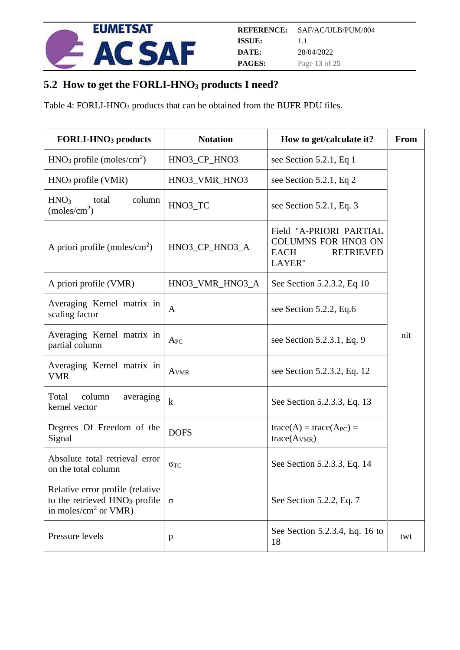

## <span id="page-12-0"></span>**5.2 How to get the FORLI-HNO<sup>3</sup> products I need?**

Table 4: FORLI-HNO<sub>3</sub> products that can be obtained from the BUFR PDU files.

| <b>FORLI-HNO<sub>3</sub></b> products                                                                            | <b>Notation</b>                                                      | How to get/calculate it?                                                                                  | From |
|------------------------------------------------------------------------------------------------------------------|----------------------------------------------------------------------|-----------------------------------------------------------------------------------------------------------|------|
| $HNO3$ profile (moles/cm <sup>2</sup> )                                                                          | HNO3_CP_HNO3                                                         | see Section 5.2.1, Eq 1                                                                                   |      |
| $HNO3$ profile (VMR)                                                                                             | HNO3_VMR_HNO3                                                        | see Section 5.2.1, Eq 2                                                                                   |      |
| column<br>HNO <sub>3</sub><br>total<br>(moles/cm <sup>2</sup> )                                                  | HNO3 TC                                                              | see Section $5.2.1$ , Eq. 3                                                                               |      |
| A priori profile (moles/ $\rm cm^2$ )                                                                            | HNO3_CP_HNO3_A                                                       | Field "A-PRIORI PARTIAL<br><b>COLUMNS FOR HNO3 ON</b><br><b>RETRIEVED</b><br><b>EACH</b><br><b>LAYER"</b> |      |
| A priori profile (VMR)                                                                                           | HNO3_VMR_HNO3_A                                                      | See Section 5.2.3.2, Eq 10                                                                                |      |
| Averaging Kernel matrix in<br>scaling factor                                                                     | $\mathbf{A}$                                                         | see Section 5.2.2, Eq.6                                                                                   |      |
| Averaging Kernel matrix in<br>partial column                                                                     | $A_{PC}$                                                             | see Section 5.2.3.1, Eq. 9                                                                                | nit  |
| Averaging Kernel matrix in<br><b>VMR</b>                                                                         | A <sub>VMR</sub>                                                     | see Section 5.2.3.2, Eq. 12                                                                               |      |
| Total<br>column<br>averaging<br>kernel vector                                                                    | $\bf k$<br>See Section 5.2.3.3, Eq. 13                               |                                                                                                           |      |
| Degrees Of Freedom of the<br>Signal                                                                              | $trace(A) = trace(APC) =$<br><b>DOFS</b><br>trace(A <sub>VMR</sub> ) |                                                                                                           |      |
| Absolute total retrieval error<br>on the total column                                                            | $\sigma_{TC}$                                                        | See Section 5.2.3.3, Eq. 14                                                                               |      |
| Relative error profile (relative<br>to the retrieved HNO <sub>3</sub> profile<br>in moles/ $\text{cm}^2$ or VMR) | $\sigma$                                                             | See Section 5.2.2, Eq. 7                                                                                  |      |
| Pressure levels                                                                                                  | p                                                                    | See Section 5.2.3.4, Eq. 16 to<br>18                                                                      | twt  |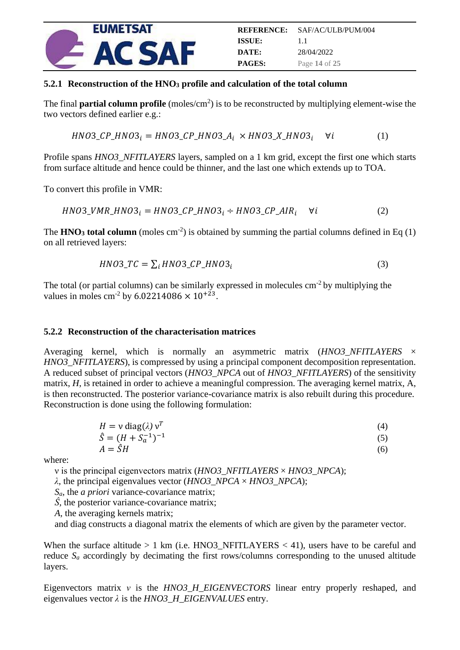

#### <span id="page-13-0"></span>**5.2.1 Reconstruction of the HNO<sup>3</sup> profile and calculation of the total column**

The final **partial column profile** (moles/cm<sup>2</sup>) is to be reconstructed by multiplying element-wise the two vectors defined earlier e.g.:

$$
HNO3\_CP\_HNO3_i = HNO3\_CP\_HNO3\_A_i \times HNO3\_X\_HNO3_i \quad \forall i \tag{1}
$$

Profile spans *HNO3\_NFITLAYERS* layers, sampled on a 1 km grid, except the first one which starts from surface altitude and hence could be thinner, and the last one which extends up to TOA.

To convert this profile in VMR:

$$
HNO3_VMR_HNO3_i = HNO3_CP_HNO3_i \div HNO3_CP_AIR_i \quad \forall i \tag{2}
$$

The **HNO**<sub>3</sub> **total column** (moles  $cm<sup>-2</sup>$ ) is obtained by summing the partial columns defined in Eq (1) on all retrieved layers:

$$
HNO3\_TC = \sum_{i} HNO3\_CP\_HNO3_{i}
$$
 (3)

The total (or partial columns) can be similarly expressed in molecules  $cm^{-2}$  by multiplying the values in moles cm<sup>-2</sup> by 6.02214086  $\times$  10<sup>+23</sup>.

#### <span id="page-13-1"></span>**5.2.2 Reconstruction of the characterisation matrices**

Averaging kernel, which is normally an asymmetric matrix (*HNO3\_NFITLAYERS* × *HNO3\_NFITLAYERS*), is compressed by using a principal component decomposition representation. A reduced subset of principal vectors (*HNO3\_NPCA* out of *HNO3\_NFITLAYERS*) of the sensitivity matrix, *H*, is retained in order to achieve a meaningful compression. The averaging kernel matrix, A, is then reconstructed. The posterior variance-covariance matrix is also rebuilt during this procedure. Reconstruction is done using the following formulation:

$$
H = v \operatorname{diag}(\lambda) v^T
$$
 (4)

$$
\hat{S} = (H + S_a^{-1})^{-1}
$$
\n
$$
A = \hat{S}H
$$
\n(5)

where:

ν is the principal eigenvectors matrix (*HNO3\_NFITLAYERS* × *HNO3\_NPCA*);

*λ,* the principal eigenvalues vector (*HNO3\_NPCA* × *HNO3\_NPCA*);

*Sa,* the *a priori* variance-covariance matrix;

*Ŝ,* the posterior variance-covariance matrix;

*A,* the averaging kernels matrix;

and diag constructs a diagonal matrix the elements of which are given by the parameter vector.

When the surface altitude  $> 1$  km (i.e. HNO3 NFITLAYERS  $< 41$ ), users have to be careful and reduce  $S_a$  accordingly by decimating the first rows/columns corresponding to the unused altitude layers.

Eigenvectors matrix *ν* is the *HNO3\_H\_EIGENVECTORS* linear entry properly reshaped, and eigenvalues vector *λ* is the *HNO3\_H\_EIGENVALUES* entry.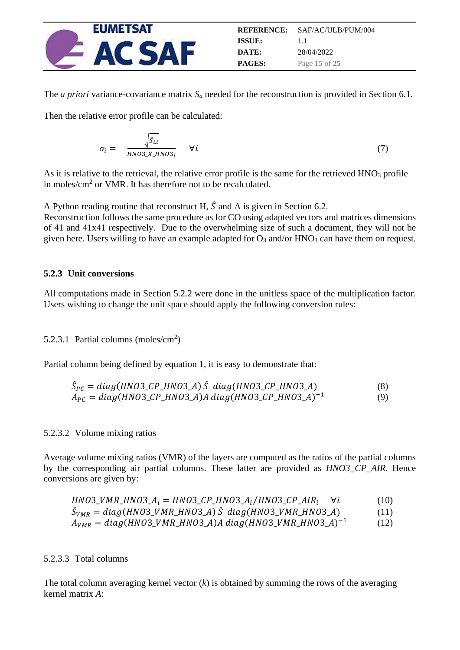

The *a priori* variance-covariance matrix  $S_a$  needed for the reconstruction is provided in Section [6.1.](#page-18-1)

Then the relative error profile can be calculated:

$$
\sigma_i = \frac{\sqrt{\hat{s}_{i,i}}}{HNO3\_X \_HNO3_i} \quad \forall i
$$
\n(7)

As it is relative to the retrieval, the relative error profile is the same for the retrieved HNO<sub>3</sub> profile in moles/ $\text{cm}^2$  or VMR. It has therefore not to be recalculated.

A Python reading routine that reconstruct H,  $\hat{S}$  and A is given in Section 6.2. Reconstruction follows the same procedure as for CO using adapted vectors and matrices dimensions of 41 and 41x41 respectively. Due to the overwhelming size of such a document, they will not be given here. Users willing to have an example adapted for  $O_3$  and/or  $HNO_3$  can have them on request.

#### <span id="page-14-0"></span>**5.2.3 Unit conversions**

All computations made in Section [5.2.2](#page-13-1) were done in the unitless space of the multiplication factor. Users wishing to change the unit space should apply the following conversion rules:

#### <span id="page-14-2"></span>5.2.3.1 Partial columns (moles/cm<sup>2</sup>)

Partial column being defined by equation 1, it is easy to demonstrate that:

$$
\hat{S}_{PC} = diag(HNO3_CP_HNO3_A) \hat{S} diag(HNO3_CP_HNO3_A)
$$
\n
$$
A_{PC} = diag(HNO3_CP_HNO3_A)A diag(HNO3_CP_HNO3_A)^{-1}
$$
\n(9)

#### <span id="page-14-1"></span>5.2.3.2 Volume mixing ratios

Average volume mixing ratios (VMR) of the layers are computed as the ratios of the partial columns by the corresponding air partial columns. These latter are provided as *HNO3\_CP\_AIR*. Hence conversions are given by:

| $HNO3_VMR_HNO3_A_i = HNO3_CP_HNO3_A_i/HNO3_CP_AIR_i$                  | (10) |
|-----------------------------------------------------------------------|------|
| $\hat{S}_{VMR} = diag(HNO3_VMR_HNO3_A) \hat{S} diag(HNO3_VMR_HNO3_A)$ | (11) |
| $A_{VMR} = diag(HNO3_VMR_HNO3_A)A diag(HNO3_VMR_HNO3_A)^{-1}$         | (12) |

#### <span id="page-14-3"></span>5.2.3.3 Total columns

The total column averaging kernel vector (*k*) is obtained by summing the rows of the averaging kernel matrix *A*: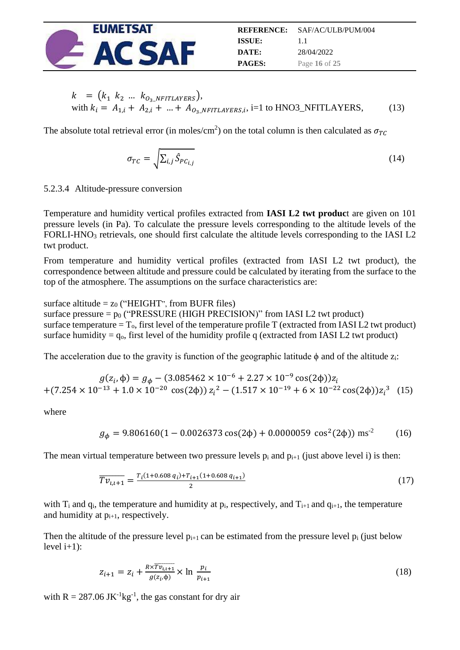

$$
k = (k_1 \ k_2 \ \dots \ k_{O_3 \_ NFTLAYERS}),
$$
  
with  $k_i = A_{1,i} + A_{2,i} + ... + A_{O_3 \_ NFTLAYERS,i}$ , i=1 to HNO3\_NFTLAYERS, (13)

The absolute total retrieval error (in moles/cm<sup>2</sup>) on the total column is then calculated as  $\sigma_{TC}$ 

$$
\sigma_{TC} = \sqrt{\sum_{i,j} \hat{S}_{PC_{i,j}}}
$$
\n(14)

<span id="page-15-0"></span>5.2.3.4 Altitude-pressure conversion

Temperature and humidity vertical profiles extracted from **IASI L2 twt produc**t are given on 101 pressure levels (in Pa). To calculate the pressure levels corresponding to the altitude levels of the FORLI-HNO<sub>3</sub> retrievals, one should first calculate the altitude levels corresponding to the IASI L2 twt product.

From temperature and humidity vertical profiles (extracted from IASI L2 twt product), the correspondence between altitude and pressure could be calculated by iterating from the surface to the top of the atmosphere. The assumptions on the surface characteristics are:

surface altitude  $= z_0$  ("HEIGHT", from BUFR files) surface pressure  $= p_0$  ("PRESSURE (HIGH PRECISION)" from IASI L2 twt product) surface temperature  $T_0$ , first level of the temperature profile T (extracted from IASI L2 twt product) surface humidity =  $q_0$ , first level of the humidity profile q (extracted from IASI L2 twt product)

The acceleration due to the gravity is function of the geographic latitude  $\phi$  and of the altitude  $z_i$ :

$$
g(z_i, \phi) = g_{\phi} - (3.085462 \times 10^{-6} + 2.27 \times 10^{-9} \cos(2\phi))z_i
$$
  
+
$$
(7.254 \times 10^{-13} + 1.0 \times 10^{-20} \cos(2\phi))z_i^2 - (1.517 \times 10^{-19} + 6 \times 10^{-22} \cos(2\phi))z_i^3
$$
 (15)

where

$$
g_{\phi} = 9.806160(1 - 0.0026373 \cos(2\phi) + 0.0000059 \cos^{2}(2\phi)) \text{ ms}^{-2}
$$
 (16)

The mean virtual temperature between two pressure levels  $p_i$  and  $p_{i+1}$  (just above level i) is then:

$$
\overline{Tv_{i,i+1}} = \frac{r_i(1+0.608q_i) + r_{i+1}(1+0.608q_{i+1})}{2}
$$
\n(17)

with  $T_i$  and  $q_i$ , the temperature and humidity at  $p_i$ , respectively, and  $T_{i+1}$  and  $q_{i+1}$ , the temperature and humidity at  $p_{i+1}$ , respectively.

Then the altitude of the pressure level  $p_{i+1}$  can be estimated from the pressure level  $p_i$  (just below level  $i+1$ :

$$
z_{i+1} = z_i + \frac{R \times \overline{rv_{i,i+1}}}{g(z_i, \phi)} \times \ln \frac{p_i}{p_{i+1}}
$$
 (18)

with  $R = 287.06$  JK<sup>-1</sup>kg<sup>-1</sup>, the gas constant for dry air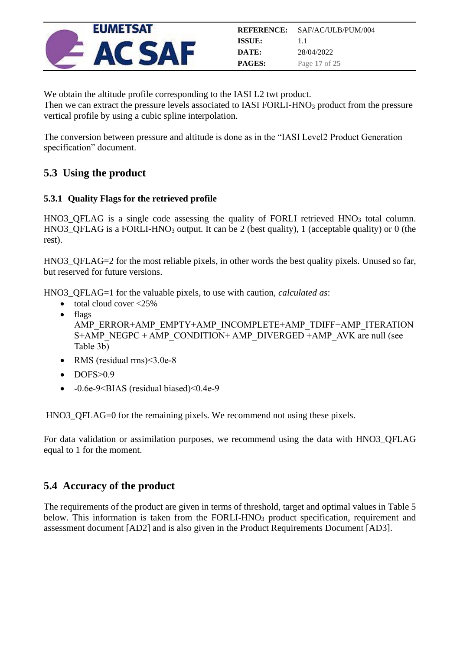

We obtain the altitude profile corresponding to the IASI L2 twt product. Then we can extract the pressure levels associated to IASI FORLI-HNO<sub>3</sub> product from the pressure vertical profile by using a cubic spline interpolation.

The conversion between pressure and altitude is done as in the "IASI Level2 Product Generation specification" document.

## <span id="page-16-0"></span>**5.3 Using the product**

#### <span id="page-16-1"></span>**5.3.1 Quality Flags for the retrieved profile**

 $HNO3_QFLAG$  is a single code assessing the quality of FORLI retrieved  $HNO<sub>3</sub>$  total column. HNO3\_QFLAG is a FORLI-HNO<sub>3</sub> output. It can be 2 (best quality), 1 (acceptable quality) or 0 (the rest).

HNO3\_QFLAG=2 for the most reliable pixels, in other words the best quality pixels. Unused so far, but reserved for future versions.

HNO3\_QFLAG=1 for the valuable pixels, to use with caution, *calculated as*:

- total cloud cover <25%
- flags AMP\_ERROR+AMP\_EMPTY+AMP\_INCOMPLETE+AMP\_TDIFF+AMP\_ITERATION S+AMP\_NEGPC + AMP\_CONDITION+ AMP\_DIVERGED +AMP\_AVK are null (see Table 3b)
- RMS (residual rms)<3.0e-8
- DOFS>0.9
- -0.6e-9<BIAS (residual biased)<0.4e-9

HNO3\_QFLAG=0 for the remaining pixels. We recommend not using these pixels.

For data validation or assimilation purposes, we recommend using the data with HNO3\_QFLAG equal to 1 for the moment.

## <span id="page-16-2"></span>**5.4 Accuracy of the product**

The requirements of the product are given in terms of threshold, target and optimal values in Table 5 below. This information is taken from the FORLI-HNO<sub>3</sub> product specification, requirement and assessment document [AD2] and is also given in the Product Requirements Document [AD3].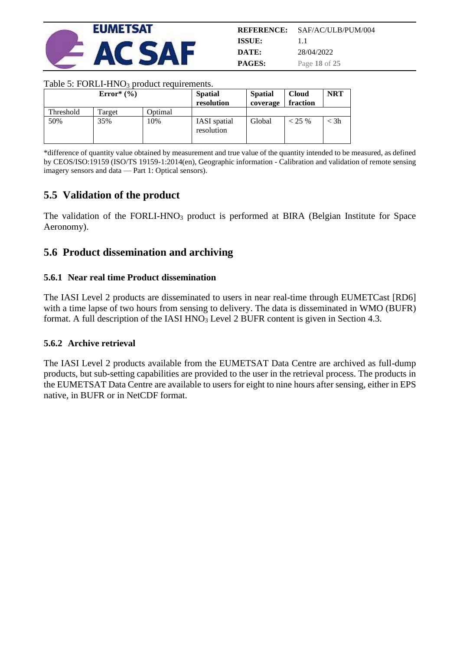

| REFERENCE:    | SAF/AC/ULB/PUM/004 |
|---------------|--------------------|
| ISSUE:        | $1\;1$             |
| DATE:         | 28/04/2022         |
| <b>PAGES:</b> | Page 18 of 25      |

#### Table 5: FORLI-HNO<sub>3</sub> product requirements.

|           | Error $*(\%)$ |                 | <b>Spatial</b><br>resolution      | <b>Spatial</b><br>coverage | <b>Cloud</b><br>fraction | <b>NRT</b> |
|-----------|---------------|-----------------|-----------------------------------|----------------------------|--------------------------|------------|
| Threshold | Target        | <b>D</b> otimal |                                   |                            |                          |            |
| 50%       | 35%           | 10%             | <b>IASI</b> spatial<br>resolution | Global                     | $< 25 \%$                | $<$ 3h     |

\*difference of quantity value obtained by measurement and true value of the quantity intended to be measured, as defined by CEOS/ISO:19159 (ISO/TS 19159-1:2014(en), Geographic information - Calibration and validation of remote sensing imagery sensors and data — Part 1: Optical sensors).

### <span id="page-17-0"></span>**5.5 Validation of the product**

The validation of the FORLI-HNO<sub>3</sub> product is performed at BIRA (Belgian Institute for Space Aeronomy).

#### <span id="page-17-1"></span>**5.6 Product dissemination and archiving**

#### <span id="page-17-2"></span>**5.6.1 Near real time Product dissemination**

The IASI Level 2 products are disseminated to users in near real-time through EUMETCast [RD6] with a time lapse of two hours from sensing to delivery. The data is disseminated in WMO (BUFR) format. A full description of the IASI HNO<sub>3</sub> Level 2 BUFR content is given in Section [4.3.](#page-7-3)

#### <span id="page-17-3"></span>**5.6.2 Archive retrieval**

The IASI Level 2 products available from the EUMETSAT Data Centre are archived as full-dump products, but sub-setting capabilities are provided to the user in the retrieval process. The products in the EUMETSAT Data Centre are available to users for eight to nine hours after sensing, either in EPS native, in BUFR or in NetCDF format.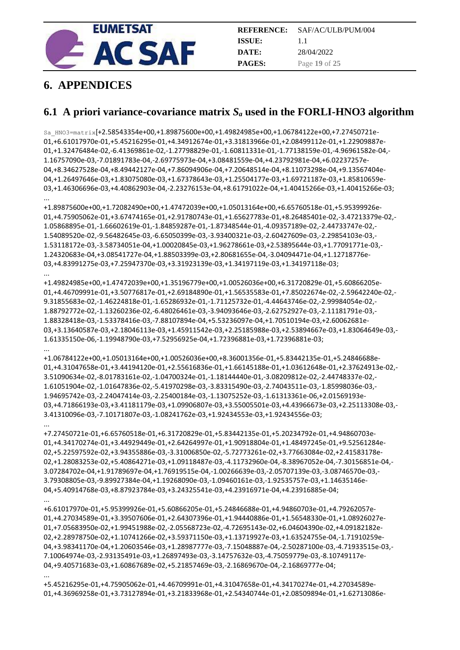

## <span id="page-18-0"></span>**6. APPENDICES**

## <span id="page-18-1"></span>**6.1 A priori variance-covariance matrix** *S<sup>a</sup>* **used in the FORLI-HNO3 algorithm**

Sa\_HNO3=matrix[+2.58543354e+00,+1.89875600e+00,+1.49824985e+00,+1.06784122e+00,+7.27450721e-01,+6.61017970e-01,+5.45216295e-01,+4.34912674e-01,+3.31813966e-01,+2.08499112e-01,+1.22909887e-01,+1.32476484e-02,-6.41369861e-02,-1.27798829e-01,-1.60811331e-01,-1.77138159e-01,-4.96961582e-04,- 1.16757090e-03,-7.01891783e-04,-2.69775973e-04,+3.08481559e-04,+4.23792981e-04,+6.02237257e-04,+8.34627528e-04,+8.49442127e-04,+7.86094906e-04,+7.20648514e-04,+8.11073298e-04,+9.13567404e-04,+1.26497646e-03,+1.83075080e-03,+1.67378643e-03,+1.25504177e-03,+1.69721187e-03,+1.85810659e-03,+1.46306696e-03,+4.40862903e-04,-2.23276153e-04,+8.61791022e-04,+1.40415266e-03,+1.40415266e-03; ...

+1.89875600e+00,+1.72082490e+00,+1.47472039e+00,+1.05013164e+00,+6.65760518e-01,+5.95399926e-01,+4.75905062e-01,+3.67474165e-01,+2.91780743e-01,+1.65627783e-01,+8.26485401e-02,-3.47213379e-02,- 1.05868895e-01,-1.66602619e-01,-1.84859287e-01,-1.87348544e-01,-4.09357189e-02,-2.44733747e-02,- 1.54089520e-02,-9.56482645e-03,-6.65050399e-03,-3.93400321e-03,-2.60427609e-03,-2.29854103e-03,- 1.53118172e-03,-3.58734051e-04,+1.00020845e-03,+1.96278661e-03,+2.53895644e-03,+1.77091771e-03,- 1.24320683e-04,+3.08541727e-04,+1.88503399e-03,+2.80681655e-04,-3.04094471e-04,+1.12718776e-03,+4.83991275e-03,+7.25947370e-03,+3.31923139e-03,+1.34197119e-03,+1.34197118e-03;

... +1.49824985e+00,+1.47472039e+00,+1.35196779e+00,+1.00526036e+00,+6.31720829e-01,+5.60866205e-01,+4.46709991e-01,+3.50776817e-01,+2.69184890e-01,+1.56535583e-01,+7.85022674e-02,-2.59642240e-02,- 9.31855683e-02,-1.46224818e-01,-1.65286932e-01,-1.71125732e-01,-4.44643746e-02,-2.99984054e-02,- 1.88792772e-02,-1.13260236e-02,-6.48026461e-03,-3.94093646e-03,-2.62752927e-03,-2.11181791e-03,- 1.88328418e-03,-1.53378416e-03,-7.88107894e-04,+5.53236097e-04,+1.70510194e-03,+2.60062681e-03,+3.13640587e-03,+2.18046113e-03,+1.45911542e-03,+2.25185988e-03,+2.53894667e-03,+1.83064649e-03,- 1.61335150e-06,-1.19948790e-03,+7.52956925e-04,+1.72396881e-03,+1.72396881e-03;

... +1.06784122e+00,+1.05013164e+00,+1.00526036e+00,+8.36001356e-01,+5.83442135e-01,+5.24846688e-01,+4.31047658e-01,+3.44194120e-01,+2.55616836e-01,+1.66145188e-01,+1.03612648e-01,+2.37624913e-02,- 3.51090634e-02,-8.01783161e-02,-1.04700324e-01,-1.18144440e-01,-3.08209812e-02,-2.44748337e-02,- 1.61051904e-02,-1.01647836e-02,-5.41970298e-03,-3.83315490e-03,-2.74043511e-03,-1.85998036e-03,- 1.94695742e-03,-2.24047414e-03,-2.25400184e-03,-1.13075252e-03,-1.61313361e-06,+2.01569193e-03,+4.71866193e-03,+3.41181179e-03,+1.09906807e-03,+3.55005501e-03,+4.43966673e-03,+2.25113308e-03,- 3.41310096e-03,-7.10171807e-03,-1.08241762e-03,+1.92434553e-03,+1.92434556e-03;

... +7.27450721e-01,+6.65760518e-01,+6.31720829e-01,+5.83442135e-01,+5.20234792e-01,+4.94860703e-01,+4.34170274e-01,+3.44929449e-01,+2.64264997e-01,+1.90918804e-01,+1.48497245e-01,+9.52561284e-02,+5.22597592e-02,+3.94355886e-03,-3.31006850e-02,-5.72773261e-02,+3.77663084e-02,+2.41583178e-02,+1.28083253e-02,+5.40864271e-03,+1.09118487e-03,-4.11732960e-04,-8.38967052e-04,-7.30156851e-04,- 3.07284702e-04,+1.91789697e-04,+1.76919515e-04,-1.00266639e-03,-2.05707139e-03,-3.08746570e-03,- 3.79308805e-03,-9.89927384e-04,+1.19268090e-03,-1.09460161e-03,-1.92535757e-03,+1.14635146e-04,+5.40914768e-03,+8.87923784e-03,+3.24325541e-03,+4.23916971e-04,+4.23916885e-04;

... +6.61017970e-01,+5.95399926e-01,+5.60866205e-01,+5.24846688e-01,+4.94860703e-01,+4.79262057e-01,+4.27034589e-01,+3.39507606e-01,+2.64307396e-01,+1.94440886e-01,+1.56548330e-01,+1.08926027e-01,+7.05683950e-02,+1.99451988e-02,-2.05568723e-02,-4.72695143e-02,+6.04604390e-02,+4.09182182e-02,+2.28978750e-02,+1.10741266e-02,+3.59371150e-03,+1.13719927e-03,+1.63524755e-04,-1.71910259e-04,+3.98341170e-04,+1.20603546e-03,+1.28987777e-03,-7.15048887e-04,-2.50287100e-03,-4.71933515e-03,- 7.10064974e-03,-2.93135491e-03,+1.26897493e-03,-3.14757632e-03,-4.75059779e-03,-8.10749117e-04,+9.40571683e-03,+1.60867689e-02,+5.21857469e-03,-2.16869670e-04,-2.16869777e-04;

... +5.45216295e-01,+4.75905062e-01,+4.46709991e-01,+4.31047658e-01,+4.34170274e-01,+4.27034589e-01,+4.36969258e-01,+3.73127894e-01,+3.21833968e-01,+2.54340744e-01,+2.08509894e-01,+1.62713086e-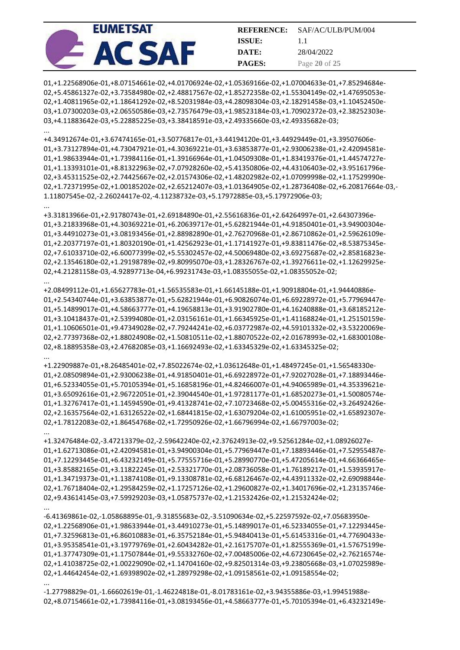| <b>EUMETSAT</b> |               | <b>REFERENCE:</b> SAF/AC/ULB/PUM/004 |
|-----------------|---------------|--------------------------------------|
|                 | <b>ISSUE:</b> |                                      |
|                 | DATE:         | 28/04/2022                           |
|                 | <b>PAGES:</b> | Page 20 of 25                        |

01,+1.22568906e-01,+8.07154661e-02,+4.01706924e-02,+1.05369166e-02,+1.07004633e-01,+7.85294684e-02,+5.45861327e-02,+3.73584980e-02,+2.48817567e-02,+1.85272358e-02,+1.55304149e-02,+1.47695053e-02,+1.40811965e-02,+1.18641292e-02,+8.52031984e-03,+4.28098304e-03,+2.18291458e-03,+1.10452450e-03,+1.07300203e-03,+2.06550586e-03,+2.73576479e-03,+1.98523184e-03,+1.70902372e-03,+2.38252303e-03,+4.11883642e-03,+5.22885225e-03,+3.38418591e-03,+2.49335660e-03,+2.49335682e-03;

...

...

...

...

...

...

...

+4.34912674e-01,+3.67474165e-01,+3.50776817e-01,+3.44194120e-01,+3.44929449e-01,+3.39507606e-01,+3.73127894e-01,+4.73047921e-01,+4.30369221e-01,+3.63853877e-01,+2.93006238e-01,+2.42094581e-01,+1.98633944e-01,+1.73984116e-01,+1.39166964e-01,+1.04509308e-01,+1.83419376e-01,+1.44574727e-01,+1.13393101e-01,+8.81322963e-02,+7.07928260e-02,+5.41350806e-02,+4.43106403e-02,+3.95161796e-02,+3.45311525e-02,+2.74425667e-02,+2.01574306e-02,+1.48202982e-02,+1.07099998e-02,+1.17529990e-02,+1.72371995e-02,+1.00185202e-02,+2.65212407e-03,+1.01364905e-02,+1.28736408e-02,+6.20817664e-03,- 1.11807545e-02,-2.26024417e-02,-4.11238732e-03,+5.17972885e-03,+5.17972906e-03;

+3.31813966e-01,+2.91780743e-01,+2.69184890e-01,+2.55616836e-01,+2.64264997e-01,+2.64307396e-01,+3.21833968e-01,+4.30369221e-01,+6.20639717e-01,+5.62821944e-01,+4.91850401e-01,+3.94900304e-01,+3.44910273e-01,+3.08193456e-01,+2.88982890e-01,+2.76270968e-01,+2.86710862e-01,+2.59626109e-01,+2.20377197e-01,+1.80320190e-01,+1.42562923e-01,+1.17141927e-01,+9.83811476e-02,+8.53875345e-02,+7.61033710e-02,+6.60077399e-02,+5.55302457e-02,+4.50069480e-02,+3.69275687e-02,+2.85816823e-02,+2.13546180e-02,+1.29198789e-02,+9.80995070e-03,+1.28326767e-02,+1.39276611e-02,+1.12629925e-02,+4.21281158e-03,-4.92897713e-04,+6.99231743e-03,+1.08355055e-02,+1.08355052e-02;

+2.08499112e-01,+1.65627783e-01,+1.56535583e-01,+1.66145188e-01,+1.90918804e-01,+1.94440886e-01,+2.54340744e-01,+3.63853877e-01,+5.62821944e-01,+6.90826074e-01,+6.69228972e-01,+5.77969447e-01,+5.14899017e-01,+4.58663777e-01,+4.19658813e-01,+3.91902780e-01,+4.16240888e-01,+3.68185212e-01,+3.10418437e-01,+2.53994080e-01,+2.03156161e-01,+1.66345925e-01,+1.41168824e-01,+1.25150159e-01,+1.10606501e-01,+9.47349028e-02,+7.79244241e-02,+6.03772987e-02,+4.59101332e-02,+3.53220069e-02,+2.77397368e-02,+1.88024908e-02,+1.50810511e-02,+1.88070522e-02,+2.01678993e-02,+1.68300108e-02,+8.18895358e-03,+2.47682085e-03,+1.16692493e-02,+1.63345329e-02,+1.63345325e-02;

+1.22909887e-01,+8.26485401e-02,+7.85022674e-02,+1.03612648e-01,+1.48497245e-01,+1.56548330e-01,+2.08509894e-01,+2.93006238e-01,+4.91850401e-01,+6.69228972e-01,+7.92027028e-01,+7.18893446e-01,+6.52334055e-01,+5.70105394e-01,+5.16858196e-01,+4.82466007e-01,+4.94065989e-01,+4.35339621e-01,+3.65092616e-01,+2.96722051e-01,+2.39044540e-01,+1.97281177e-01,+1.68520273e-01,+1.50080574e-01,+1.32767417e-01,+1.14594590e-01,+9.41328741e-02,+7.10723468e-02,+5.00455316e-02,+3.26492426e-02,+2.16357564e-02,+1.63126522e-02,+1.68441815e-02,+1.63079204e-02,+1.61005951e-02,+1.65892307e-02,+1.78122083e-02,+1.86454768e-02,+1.72950926e-02,+1.66796994e-02,+1.66797003e-02;

+1.32476484e-02,-3.47213379e-02,-2.59642240e-02,+2.37624913e-02,+9.52561284e-02,+1.08926027e-01,+1.62713086e-01,+2.42094581e-01,+3.94900304e-01,+5.77969447e-01,+7.18893446e-01,+7.52955487e-01,+7.12293445e-01,+6.43232149e-01,+5.77555716e-01,+5.28990770e-01,+5.47205614e-01,+4.66366465e-01,+3.85882165e-01,+3.11822245e-01,+2.53321770e-01,+2.08736058e-01,+1.76189217e-01,+1.53935917e-01,+1.34719373e-01,+1.13874108e-01,+9.13308781e-02,+6.68126467e-02,+4.43911332e-02,+2.69098844e-02,+1.76718404e-02,+1.29584259e-02,+1.17257126e-02,+1.29600827e-02,+1.34017696e-02,+1.23135746e-02,+9.43614145e-03,+7.59929203e-03,+1.05875737e-02,+1.21532426e-02,+1.21532424e-02;

-6.41369861e-02,-1.05868895e-01,-9.31855683e-02,-3.51090634e-02,+5.22597592e-02,+7.05683950e-02,+1.22568906e-01,+1.98633944e-01,+3.44910273e-01,+5.14899017e-01,+6.52334055e-01,+7.12293445e-01,+7.32596813e-01,+6.86010883e-01,+6.35752184e-01,+5.94840413e-01,+5.61453316e-01,+4.77690433e-01,+3.95358541e-01,+3.19779769e-01,+2.60434282e-01,+2.16175707e-01,+1.82555369e-01,+1.57675199e-01,+1.37747309e-01,+1.17507844e-01,+9.55332760e-02,+7.00485006e-02,+4.67230645e-02,+2.76216574e-02,+1.41038725e-02,+1.00229090e-02,+1.14704160e-02,+9.82501314e-03,+9.23805668e-03,+1.07025989e-02,+1.44642454e-02,+1.69398902e-02,+1.28979298e-02,+1.09158561e-02,+1.09158554e-02;

-1.27798829e-01,-1.66602619e-01,-1.46224818e-01,-8.01783161e-02,+3.94355886e-03,+1.99451988e-02,+8.07154661e-02,+1.73984116e-01,+3.08193456e-01,+4.58663777e-01,+5.70105394e-01,+6.43232149e-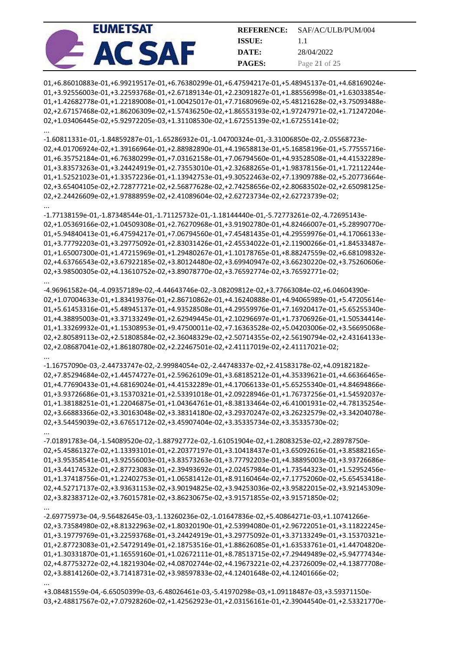| <b>EUMETSAT</b> |               | <b>REFERENCE:</b> SAF/AC/ULB/PUM/004 |
|-----------------|---------------|--------------------------------------|
|                 | <b>ISSUE:</b> |                                      |
|                 | DATE:         | 28/04/2022                           |
|                 | <b>PAGES:</b> | Page 21 of 25                        |

01,+6.86010883e-01,+6.99219517e-01,+6.76380299e-01,+6.47594217e-01,+5.48945137e-01,+4.68169024e-01,+3.92556003e-01,+3.22593768e-01,+2.67189134e-01,+2.23091827e-01,+1.88556998e-01,+1.63033854e-01,+1.42682778e-01,+1.22189008e-01,+1.00425017e-01,+7.71680969e-02,+5.48121628e-02,+3.75093488e-02,+2.67157468e-02,+1.86206309e-02,+1.57436250e-02,+1.86553193e-02,+1.97247971e-02,+1.71247204e-02,+1.03406445e-02,+5.92972205e-03,+1.31108530e-02,+1.67255139e-02,+1.67255141e-02;

...

...

...

...

...

...

...

-1.60811331e-01,-1.84859287e-01,-1.65286932e-01,-1.04700324e-01,-3.31006850e-02,-2.05568723e-02,+4.01706924e-02,+1.39166964e-01,+2.88982890e-01,+4.19658813e-01,+5.16858196e-01,+5.77555716e-01,+6.35752184e-01,+6.76380299e-01,+7.03162158e-01,+7.06794560e-01,+4.93528508e-01,+4.41532289e-01,+3.83573263e-01,+3.24424919e-01,+2.73553010e-01,+2.32688265e-01,+1.98378156e-01,+1.72112244e-01,+1.52521023e-01,+1.33572236e-01,+1.13942753e-01,+9.30522463e-02,+7.13909788e-02,+5.20773664e-02,+3.65404105e-02,+2.72877721e-02,+2.56877628e-02,+2.74258656e-02,+2.80683502e-02,+2.65098125e-02,+2.24426609e-02,+1.97888959e-02,+2.41089604e-02,+2.62723734e-02,+2.62723739e-02;

-1.77138159e-01,-1.87348544e-01,-1.71125732e-01,-1.18144440e-01,-5.72773261e-02,-4.72695143e-02,+1.05369166e-02,+1.04509308e-01,+2.76270968e-01,+3.91902780e-01,+4.82466007e-01,+5.28990770e-01,+5.94840413e-01,+6.47594217e-01,+7.06794560e-01,+7.45481435e-01,+4.29559976e-01,+4.17066133e-01,+3.77792203e-01,+3.29775092e-01,+2.83031426e-01,+2.45534022e-01,+2.11900266e-01,+1.84533487e-01,+1.65007300e-01,+1.47215969e-01,+1.29480267e-01,+1.10178765e-01,+8.88247559e-02,+6.68109832e-02,+4.63766543e-02,+3.67922185e-02,+3.80124480e-02,+3.69940947e-02,+3.66230220e-02,+3.75260606e-02,+3.98500305e-02,+4.13610752e-02,+3.89078770e-02,+3.76592774e-02,+3.76592771e-02;

-4.96961582e-04,-4.09357189e-02,-4.44643746e-02,-3.08209812e-02,+3.77663084e-02,+6.04604390e-02,+1.07004633e-01,+1.83419376e-01,+2.86710862e-01,+4.16240888e-01,+4.94065989e-01,+5.47205614e-01,+5.61453316e-01,+5.48945137e-01,+4.93528508e-01,+4.29559976e-01,+7.16920417e-01,+5.65255340e-01,+4.38895003e-01,+3.37133249e-01,+2.62949445e-01,+2.10296697e-01,+1.73706926e-01,+1.50534414e-01,+1.33269932e-01,+1.15308953e-01,+9.47500011e-02,+7.16363528e-02,+5.04203006e-02,+3.56695068e-02,+2.80589113e-02,+2.51808584e-02,+2.36048329e-02,+2.50714355e-02,+2.56190794e-02,+2.43164133e-02,+2.08687041e-02,+1.86180780e-02,+2.22467501e-02,+2.41117019e-02,+2.41117021e-02;

-1.16757090e-03,-2.44733747e-02,-2.99984054e-02,-2.44748337e-02,+2.41583178e-02,+4.09182182e-02,+7.85294684e-02,+1.44574727e-01,+2.59626109e-01,+3.68185212e-01,+4.35339621e-01,+4.66366465e-01,+4.77690433e-01,+4.68169024e-01,+4.41532289e-01,+4.17066133e-01,+5.65255340e-01,+4.84694866e-01,+3.93726686e-01,+3.15370321e-01,+2.53391018e-01,+2.09228946e-01,+1.76737256e-01,+1.54592037e-01,+1.38188251e-01,+1.22046875e-01,+1.04364761e-01,+8.38133464e-02,+6.41001931e-02,+4.78135254e-02,+3.66883366e-02,+3.30163048e-02,+3.38314180e-02,+3.29370247e-02,+3.26232579e-02,+3.34204078e-02,+3.54459039e-02,+3.67651712e-02,+3.45907404e-02,+3.35335734e-02,+3.35335730e-02;

-7.01891783e-04,-1.54089520e-02,-1.88792772e-02,-1.61051904e-02,+1.28083253e-02,+2.28978750e-02,+5.45861327e-02,+1.13393101e-01,+2.20377197e-01,+3.10418437e-01,+3.65092616e-01,+3.85882165e-01,+3.95358541e-01,+3.92556003e-01,+3.83573263e-01,+3.77792203e-01,+4.38895003e-01,+3.93726686e-01,+3.44174532e-01,+2.87723083e-01,+2.39493692e-01,+2.02457984e-01,+1.73544323e-01,+1.52952456e-01,+1.37418756e-01,+1.22402753e-01,+1.06581412e-01,+8.91160464e-02,+7.17752060e-02,+5.65453418e-02,+4.52717137e-02,+3.93631153e-02,+3.90194825e-02,+3.94253036e-02,+3.95822015e-02,+3.92145309e-02,+3.82383712e-02,+3.76015781e-02,+3.86230675e-02,+3.91571855e-02,+3.91571850e-02;

-2.69775973e-04,-9.56482645e-03,-1.13260236e-02,-1.01647836e-02,+5.40864271e-03,+1.10741266e-02,+3.73584980e-02,+8.81322963e-02,+1.80320190e-01,+2.53994080e-01,+2.96722051e-01,+3.11822245e-01,+3.19779769e-01,+3.22593768e-01,+3.24424919e-01,+3.29775092e-01,+3.37133249e-01,+3.15370321e-01,+2.87723083e-01,+2.54729149e-01,+2.18753516e-01,+1.88626085e-01,+1.63533761e-01,+1.44704820e-01,+1.30331870e-01,+1.16559160e-01,+1.02672111e-01,+8.78513715e-02,+7.29449489e-02,+5.94777434e-02,+4.87753272e-02,+4.18219304e-02,+4.08702744e-02,+4.19673221e-02,+4.23726009e-02,+4.13877708e-02,+3.88141260e-02,+3.71418731e-02,+3.98597833e-02,+4.12401648e-02,+4.12401666e-02;

+3.08481559e-04,-6.65050399e-03,-6.48026461e-03,-5.41970298e-03,+1.09118487e-03,+3.59371150e-03,+2.48817567e-02,+7.07928260e-02,+1.42562923e-01,+2.03156161e-01,+2.39044540e-01,+2.53321770e-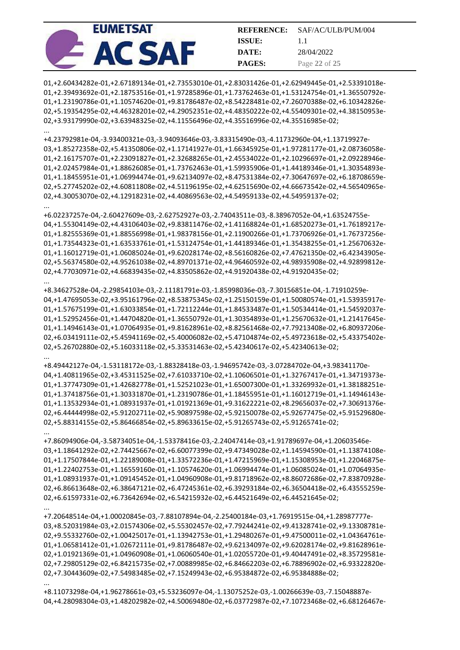| <b>EUMETSAT</b> | <b>REFERENCE:</b> | SAF/AC/ULB/PUM/004 |
|-----------------|-------------------|--------------------|
|                 | <b>ISSUE:</b>     |                    |
|                 | DATE:             | 28/04/2022         |
|                 | <b>PAGES:</b>     | Page 22 of 25      |

01,+2.60434282e-01,+2.67189134e-01,+2.73553010e-01,+2.83031426e-01,+2.62949445e-01,+2.53391018e-01,+2.39493692e-01,+2.18753516e-01,+1.97285896e-01,+1.73762463e-01,+1.53124754e-01,+1.36550792e-01,+1.23190786e-01,+1.10574620e-01,+9.81786487e-02,+8.54228481e-02,+7.26070388e-02,+6.10342826e-02,+5.19354295e-02,+4.46328201e-02,+4.29052351e-02,+4.48350222e-02,+4.55409301e-02,+4.38150953e-02,+3.93179990e-02,+3.63948325e-02,+4.11556496e-02,+4.35516996e-02,+4.35516985e-02;

...

...

...

...

...

...

...

+4.23792981e-04,-3.93400321e-03,-3.94093646e-03,-3.83315490e-03,-4.11732960e-04,+1.13719927e-03,+1.85272358e-02,+5.41350806e-02,+1.17141927e-01,+1.66345925e-01,+1.97281177e-01,+2.08736058e-01,+2.16175707e-01,+2.23091827e-01,+2.32688265e-01,+2.45534022e-01,+2.10296697e-01,+2.09228946e-01,+2.02457984e-01,+1.88626085e-01,+1.73762463e-01,+1.59935906e-01,+1.44189346e-01,+1.30354893e-01,+1.18455951e-01,+1.06994474e-01,+9.62134097e-02,+8.47531384e-02,+7.30647697e-02,+6.18708659e-02,+5.27745202e-02,+4.60811808e-02,+4.51196195e-02,+4.62515690e-02,+4.66673542e-02,+4.56540965e-02,+4.30053070e-02,+4.12918231e-02,+4.40869563e-02,+4.54959133e-02,+4.54959137e-02;

+6.02237257e-04,-2.60427609e-03,-2.62752927e-03,-2.74043511e-03,-8.38967052e-04,+1.63524755e-04,+1.55304149e-02,+4.43106403e-02,+9.83811476e-02,+1.41168824e-01,+1.68520273e-01,+1.76189217e-01,+1.82555369e-01,+1.88556998e-01,+1.98378156e-01,+2.11900266e-01,+1.73706926e-01,+1.76737256e-01,+1.73544323e-01,+1.63533761e-01,+1.53124754e-01,+1.44189346e-01,+1.35438255e-01,+1.25670632e-01,+1.16012719e-01,+1.06085024e-01,+9.62028174e-02,+8.56160826e-02,+7.47621350e-02,+6.42343905e-02,+5.56374580e-02,+4.95261038e-02,+4.89701371e-02,+4.96460592e-02,+4.98935908e-02,+4.92899812e-02,+4.77030971e-02,+4.66839435e-02,+4.83505862e-02,+4.91920438e-02,+4.91920435e-02;

+8.34627528e-04,-2.29854103e-03,-2.11181791e-03,-1.85998036e-03,-7.30156851e-04,-1.71910259e-04,+1.47695053e-02,+3.95161796e-02,+8.53875345e-02,+1.25150159e-01,+1.50080574e-01,+1.53935917e-01,+1.57675199e-01,+1.63033854e-01,+1.72112244e-01,+1.84533487e-01,+1.50534414e-01,+1.54592037e-01,+1.52952456e-01,+1.44704820e-01,+1.36550792e-01,+1.30354893e-01,+1.25670632e-01,+1.21417645e-01,+1.14946143e-01,+1.07064935e-01,+9.81628961e-02,+8.82561468e-02,+7.79213408e-02,+6.80937206e-02,+6.03419111e-02,+5.45941169e-02,+5.40006082e-02,+5.47104874e-02,+5.49723618e-02,+5.43375402e-02,+5.26702880e-02,+5.16033118e-02,+5.33531463e-02,+5.42340617e-02,+5.42340613e-02;

+8.49442127e-04,-1.53118172e-03,-1.88328418e-03,-1.94695742e-03,-3.07284702e-04,+3.98341170e-04,+1.40811965e-02,+3.45311525e-02,+7.61033710e-02,+1.10606501e-01,+1.32767417e-01,+1.34719373e-01,+1.37747309e-01,+1.42682778e-01,+1.52521023e-01,+1.65007300e-01,+1.33269932e-01,+1.38188251e-01,+1.37418756e-01,+1.30331870e-01,+1.23190786e-01,+1.18455951e-01,+1.16012719e-01,+1.14946143e-01,+1.13532934e-01,+1.08931937e-01,+1.01921369e-01,+9.31622221e-02,+8.29656037e-02,+7.30691376e-02,+6.44444998e-02,+5.91202711e-02,+5.90897598e-02,+5.92150078e-02,+5.92677475e-02,+5.91529680e-02,+5.88314155e-02,+5.86466854e-02,+5.89633615e-02,+5.91265743e-02,+5.91265741e-02;

+7.86094906e-04,-3.58734051e-04,-1.53378416e-03,-2.24047414e-03,+1.91789697e-04,+1.20603546e-03,+1.18641292e-02,+2.74425667e-02,+6.60077399e-02,+9.47349028e-02,+1.14594590e-01,+1.13874108e-01,+1.17507844e-01,+1.22189008e-01,+1.33572236e-01,+1.47215969e-01,+1.15308953e-01,+1.22046875e-01,+1.22402753e-01,+1.16559160e-01,+1.10574620e-01,+1.06994474e-01,+1.06085024e-01,+1.07064935e-01,+1.08931937e-01,+1.09145452e-01,+1.04960908e-01,+9.81718962e-02,+8.86072686e-02,+7.83870928e-02,+6.86613648e-02,+6.38647121e-02,+6.47245361e-02,+6.39293184e-02,+6.36504418e-02,+6.43555259e-02,+6.61597331e-02,+6.73642694e-02,+6.54215932e-02,+6.44521649e-02,+6.44521645e-02;

+7.20648514e-04,+1.00020845e-03,-7.88107894e-04,-2.25400184e-03,+1.76919515e-04,+1.28987777e-03,+8.52031984e-03,+2.01574306e-02,+5.55302457e-02,+7.79244241e-02,+9.41328741e-02,+9.13308781e-02,+9.55332760e-02,+1.00425017e-01,+1.13942753e-01,+1.29480267e-01,+9.47500011e-02,+1.04364761e-01,+1.06581412e-01,+1.02672111e-01,+9.81786487e-02,+9.62134097e-02,+9.62028174e-02,+9.81628961e-02,+1.01921369e-01,+1.04960908e-01,+1.06060540e-01,+1.02055720e-01,+9.40447491e-02,+8.35729581e-02,+7.29805129e-02,+6.84215735e-02,+7.00889985e-02,+6.84662203e-02,+6.78896902e-02,+6.93322820e-02,+7.30443609e-02,+7.54983485e-02,+7.15249943e-02,+6.95384872e-02,+6.95384888e-02;

+8.11073298e-04,+1.96278661e-03,+5.53236097e-04,-1.13075252e-03,-1.00266639e-03,-7.15048887e-04,+4.28098304e-03,+1.48202982e-02,+4.50069480e-02,+6.03772987e-02,+7.10723468e-02,+6.68126467e-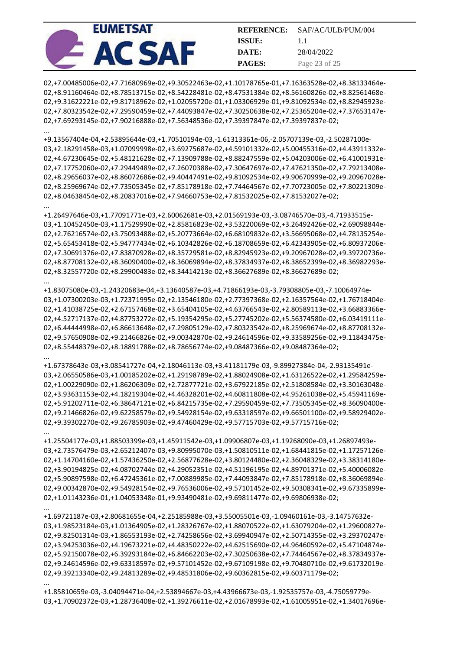| <b>EUMETSAT</b> | <b>REFERENCE:</b> | SAF/AC/ULB/PUM/004 |
|-----------------|-------------------|--------------------|
|                 | <b>ISSUE:</b>     | 1.1                |
|                 | DATE:             | 28/04/2022         |
|                 | <b>PAGES:</b>     | Page 23 of 25      |

02,+7.00485006e-02,+7.71680969e-02,+9.30522463e-02,+1.10178765e-01,+7.16363528e-02,+8.38133464e-02,+8.91160464e-02,+8.78513715e-02,+8.54228481e-02,+8.47531384e-02,+8.56160826e-02,+8.82561468e-02,+9.31622221e-02,+9.81718962e-02,+1.02055720e-01,+1.03306929e-01,+9.81092534e-02,+8.82945923e-02,+7.80323542e-02,+7.29590459e-02,+7.44093847e-02,+7.30250638e-02,+7.25365204e-02,+7.37653147e-02,+7.69293145e-02,+7.90216888e-02,+7.56348536e-02,+7.39397847e-02,+7.39397837e-02;

...

...

...

...

...

...

...

+9.13567404e-04,+2.53895644e-03,+1.70510194e-03,-1.61313361e-06,-2.05707139e-03,-2.50287100e-03,+2.18291458e-03,+1.07099998e-02,+3.69275687e-02,+4.59101332e-02,+5.00455316e-02,+4.43911332e-02,+4.67230645e-02,+5.48121628e-02,+7.13909788e-02,+8.88247559e-02,+5.04203006e-02,+6.41001931e-02,+7.17752060e-02,+7.29449489e-02,+7.26070388e-02,+7.30647697e-02,+7.47621350e-02,+7.79213408e-02,+8.29656037e-02,+8.86072686e-02,+9.40447491e-02,+9.81092534e-02,+9.90670999e-02,+9.20967028e-02,+8.25969674e-02,+7.73505345e-02,+7.85178918e-02,+7.74464567e-02,+7.70723005e-02,+7.80221309e-02,+8.04638454e-02,+8.20837016e-02,+7.94660753e-02,+7.81532025e-02,+7.81532027e-02;

+1.26497646e-03,+1.77091771e-03,+2.60062681e-03,+2.01569193e-03,-3.08746570e-03,-4.71933515e-03,+1.10452450e-03,+1.17529990e-02,+2.85816823e-02,+3.53220069e-02,+3.26492426e-02,+2.69098844e-02,+2.76216574e-02,+3.75093488e-02,+5.20773664e-02,+6.68109832e-02,+3.56695068e-02,+4.78135254e-02,+5.65453418e-02,+5.94777434e-02,+6.10342826e-02,+6.18708659e-02,+6.42343905e-02,+6.80937206e-02,+7.30691376e-02,+7.83870928e-02,+8.35729581e-02,+8.82945923e-02,+9.20967028e-02,+9.39720736e-02,+8.87708132e-02,+8.36090400e-02,+8.36069894e-02,+8.37834937e-02,+8.38652399e-02,+8.36982293e-02,+8.32557720e-02,+8.29900483e-02,+8.34414213e-02,+8.36627689e-02,+8.36627689e-02;

+1.83075080e-03,-1.24320683e-04,+3.13640587e-03,+4.71866193e-03,-3.79308805e-03,-7.10064974e-03,+1.07300203e-03,+1.72371995e-02,+2.13546180e-02,+2.77397368e-02,+2.16357564e-02,+1.76718404e-02,+1.41038725e-02,+2.67157468e-02,+3.65404105e-02,+4.63766543e-02,+2.80589113e-02,+3.66883366e-02,+4.52717137e-02,+4.87753272e-02,+5.19354295e-02,+5.27745202e-02,+5.56374580e-02,+6.03419111e-02,+6.44444998e-02,+6.86613648e-02,+7.29805129e-02,+7.80323542e-02,+8.25969674e-02,+8.87708132e-02,+9.57650908e-02,+9.21466826e-02,+9.00342870e-02,+9.24614596e-02,+9.33589256e-02,+9.11843475e-02,+8.55448379e-02,+8.18891788e-02,+8.78656774e-02,+9.08487366e-02,+9.08487364e-02;

+1.67378643e-03,+3.08541727e-04,+2.18046113e-03,+3.41181179e-03,-9.89927384e-04,-2.93135491e-03,+2.06550586e-03,+1.00185202e-02,+1.29198789e-02,+1.88024908e-02,+1.63126522e-02,+1.29584259e-02,+1.00229090e-02,+1.86206309e-02,+2.72877721e-02,+3.67922185e-02,+2.51808584e-02,+3.30163048e-02,+3.93631153e-02,+4.18219304e-02,+4.46328201e-02,+4.60811808e-02,+4.95261038e-02,+5.45941169e-02,+5.91202711e-02,+6.38647121e-02,+6.84215735e-02,+7.29590459e-02,+7.73505345e-02,+8.36090400e-02,+9.21466826e-02,+9.62258579e-02,+9.54928154e-02,+9.63318597e-02,+9.66501100e-02,+9.58929402e-02,+9.39302270e-02,+9.26785903e-02,+9.47460429e-02,+9.57715703e-02,+9.57715716e-02;

+1.25504177e-03,+1.88503399e-03,+1.45911542e-03,+1.09906807e-03,+1.19268090e-03,+1.26897493e-03,+2.73576479e-03,+2.65212407e-03,+9.80995070e-03,+1.50810511e-02,+1.68441815e-02,+1.17257126e-02,+1.14704160e-02,+1.57436250e-02,+2.56877628e-02,+3.80124480e-02,+2.36048329e-02,+3.38314180e-02,+3.90194825e-02,+4.08702744e-02,+4.29052351e-02,+4.51196195e-02,+4.89701371e-02,+5.40006082e-02,+5.90897598e-02,+6.47245361e-02,+7.00889985e-02,+7.44093847e-02,+7.85178918e-02,+8.36069894e-02,+9.00342870e-02,+9.54928154e-02,+9.76536006e-02,+9.57101452e-02,+9.50308341e-02,+9.67335899e-02,+1.01143236e-01,+1.04053348e-01,+9.93490481e-02,+9.69811477e-02,+9.69806938e-02;

+1.69721187e-03,+2.80681655e-04,+2.25185988e-03,+3.55005501e-03,-1.09460161e-03,-3.14757632e-03,+1.98523184e-03,+1.01364905e-02,+1.28326767e-02,+1.88070522e-02,+1.63079204e-02,+1.29600827e-02,+9.82501314e-03,+1.86553193e-02,+2.74258656e-02,+3.69940947e-02,+2.50714355e-02,+3.29370247e-02,+3.94253036e-02,+4.19673221e-02,+4.48350222e-02,+4.62515690e-02,+4.96460592e-02,+5.47104874e-02,+5.92150078e-02,+6.39293184e-02,+6.84662203e-02,+7.30250638e-02,+7.74464567e-02,+8.37834937e-02,+9.24614596e-02,+9.63318597e-02,+9.57101452e-02,+9.67109198e-02,+9.70480710e-02,+9.61732019e-02,+9.39213340e-02,+9.24813289e-02,+9.48531806e-02,+9.60362815e-02,+9.60371179e-02;

+1.85810659e-03,-3.04094471e-04,+2.53894667e-03,+4.43966673e-03,-1.92535757e-03,-4.75059779e-03,+1.70902372e-03,+1.28736408e-02,+1.39276611e-02,+2.01678993e-02,+1.61005951e-02,+1.34017696e-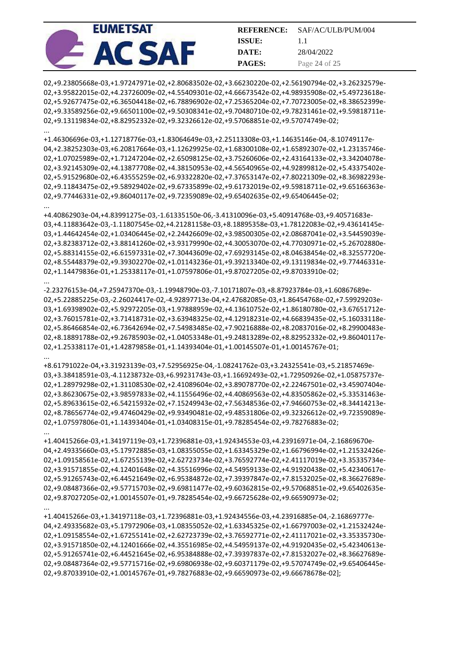| <b>EUMETSAT</b> | <b>REFERENCE:</b> | SAF/AC/ULB/PUM/004 |
|-----------------|-------------------|--------------------|
|                 | <b>ISSUE:</b>     |                    |
|                 | DATE:             | 28/04/2022         |
|                 | <b>PAGES:</b>     | Page 24 of 25      |

02,+9.23805668e-03,+1.97247971e-02,+2.80683502e-02,+3.66230220e-02,+2.56190794e-02,+3.26232579e-02,+3.95822015e-02,+4.23726009e-02,+4.55409301e-02,+4.66673542e-02,+4.98935908e-02,+5.49723618e-02,+5.92677475e-02,+6.36504418e-02,+6.78896902e-02,+7.25365204e-02,+7.70723005e-02,+8.38652399e-02,+9.33589256e-02,+9.66501100e-02,+9.50308341e-02,+9.70480710e-02,+9.78231461e-02,+9.59818711e-02,+9.13119834e-02,+8.82952332e-02,+9.32326612e-02,+9.57068851e-02,+9.57074749e-02;

...

...

...

...

+1.46306696e-03,+1.12718776e-03,+1.83064649e-03,+2.25113308e-03,+1.14635146e-04,-8.10749117e-04,+2.38252303e-03,+6.20817664e-03,+1.12629925e-02,+1.68300108e-02,+1.65892307e-02,+1.23135746e-02,+1.07025989e-02,+1.71247204e-02,+2.65098125e-02,+3.75260606e-02,+2.43164133e-02,+3.34204078e-02,+3.92145309e-02,+4.13877708e-02,+4.38150953e-02,+4.56540965e-02,+4.92899812e-02,+5.43375402e-02,+5.91529680e-02,+6.43555259e-02,+6.93322820e-02,+7.37653147e-02,+7.80221309e-02,+8.36982293e-02,+9.11843475e-02,+9.58929402e-02,+9.67335899e-02,+9.61732019e-02,+9.59818711e-02,+9.65166363e-02,+9.77446331e-02,+9.86040117e-02,+9.72359089e-02,+9.65402635e-02,+9.65406445e-02;

+4.40862903e-04,+4.83991275e-03,-1.61335150e-06,-3.41310096e-03,+5.40914768e-03,+9.40571683e-03,+4.11883642e-03,-1.11807545e-02,+4.21281158e-03,+8.18895358e-03,+1.78122083e-02,+9.43614145e-03,+1.44642454e-02,+1.03406445e-02,+2.24426609e-02,+3.98500305e-02,+2.08687041e-02,+3.54459039e-02,+3.82383712e-02,+3.88141260e-02,+3.93179990e-02,+4.30053070e-02,+4.77030971e-02,+5.26702880e-02,+5.88314155e-02,+6.61597331e-02,+7.30443609e-02,+7.69293145e-02,+8.04638454e-02,+8.32557720e-02,+8.55448379e-02,+9.39302270e-02,+1.01143236e-01,+9.39213340e-02,+9.13119834e-02,+9.77446331e-02,+1.14479836e-01,+1.25338117e-01,+1.07597806e-01,+9.87027205e-02,+9.87033910e-02;

-2.23276153e-04,+7.25947370e-03,-1.19948790e-03,-7.10171807e-03,+8.87923784e-03,+1.60867689e-02,+5.22885225e-03,-2.26024417e-02,-4.92897713e-04,+2.47682085e-03,+1.86454768e-02,+7.59929203e-03,+1.69398902e-02,+5.92972205e-03,+1.97888959e-02,+4.13610752e-02,+1.86180780e-02,+3.67651712e-02,+3.76015781e-02,+3.71418731e-02,+3.63948325e-02,+4.12918231e-02,+4.66839435e-02,+5.16033118e-02,+5.86466854e-02,+6.73642694e-02,+7.54983485e-02,+7.90216888e-02,+8.20837016e-02,+8.29900483e-02,+8.18891788e-02,+9.26785903e-02,+1.04053348e-01,+9.24813289e-02,+8.82952332e-02,+9.86040117e-02,+1.25338117e-01,+1.42879858e-01,+1.14393404e-01,+1.00145507e-01,+1.00145767e-01;

+8.61791022e-04,+3.31923139e-03,+7.52956925e-04,-1.08241762e-03,+3.24325541e-03,+5.21857469e-03,+3.38418591e-03,-4.11238732e-03,+6.99231743e-03,+1.16692493e-02,+1.72950926e-02,+1.05875737e-02,+1.28979298e-02,+1.31108530e-02,+2.41089604e-02,+3.89078770e-02,+2.22467501e-02,+3.45907404e-02,+3.86230675e-02,+3.98597833e-02,+4.11556496e-02,+4.40869563e-02,+4.83505862e-02,+5.33531463e-02,+5.89633615e-02,+6.54215932e-02,+7.15249943e-02,+7.56348536e-02,+7.94660753e-02,+8.34414213e-02,+8.78656774e-02,+9.47460429e-02,+9.93490481e-02,+9.48531806e-02,+9.32326612e-02,+9.72359089e-02,+1.07597806e-01,+1.14393404e-01,+1.03408315e-01,+9.78285454e-02,+9.78276883e-02;

... +1.40415266e-03,+1.34197119e-03,+1.72396881e-03,+1.92434553e-03,+4.23916971e-04,-2.16869670e-04,+2.49335660e-03,+5.17972885e-03,+1.08355055e-02,+1.63345329e-02,+1.66796994e-02,+1.21532426e-02,+1.09158561e-02,+1.67255139e-02,+2.62723734e-02,+3.76592774e-02,+2.41117019e-02,+3.35335734e-02,+3.91571855e-02,+4.12401648e-02,+4.35516996e-02,+4.54959133e-02,+4.91920438e-02,+5.42340617e-02,+5.91265743e-02,+6.44521649e-02,+6.95384872e-02,+7.39397847e-02,+7.81532025e-02,+8.36627689e-02,+9.08487366e-02,+9.57715703e-02,+9.69811477e-02,+9.60362815e-02,+9.57068851e-02,+9.65402635e-02,+9.87027205e-02,+1.00145507e-01,+9.78285454e-02,+9.66725628e-02,+9.66590973e-02; ...

+1.40415266e-03,+1.34197118e-03,+1.72396881e-03,+1.92434556e-03,+4.23916885e-04,-2.16869777e-04,+2.49335682e-03,+5.17972906e-03,+1.08355052e-02,+1.63345325e-02,+1.66797003e-02,+1.21532424e-02,+1.09158554e-02,+1.67255141e-02,+2.62723739e-02,+3.76592771e-02,+2.41117021e-02,+3.35335730e-02,+3.91571850e-02,+4.12401666e-02,+4.35516985e-02,+4.54959137e-02,+4.91920435e-02,+5.42340613e-02,+5.91265741e-02,+6.44521645e-02,+6.95384888e-02,+7.39397837e-02,+7.81532027e-02,+8.36627689e-02,+9.08487364e-02,+9.57715716e-02,+9.69806938e-02,+9.60371179e-02,+9.57074749e-02,+9.65406445e-02,+9.87033910e-02,+1.00145767e-01,+9.78276883e-02,+9.66590973e-02,+9.66678678e-02];